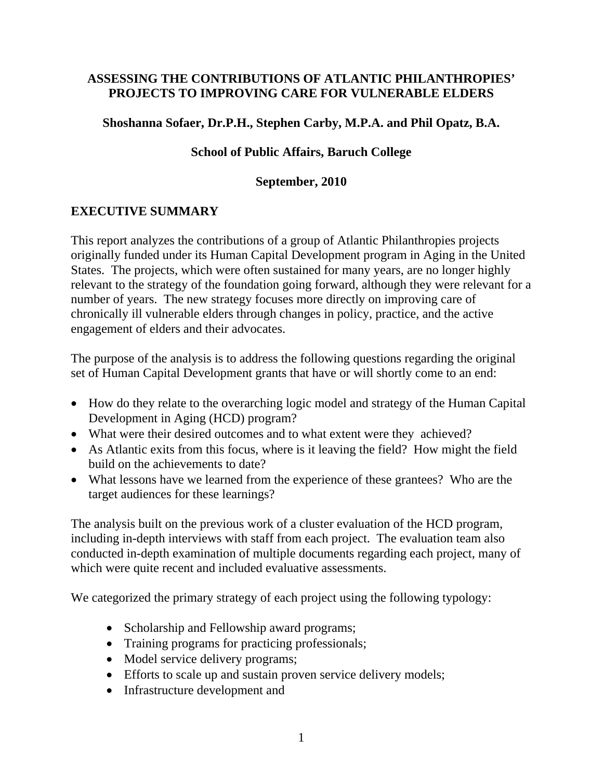#### **ASSESSING THE CONTRIBUTIONS OF ATLANTIC PHILANTHROPIES' PROJECTS TO IMPROVING CARE FOR VULNERABLE ELDERS**

#### **Shoshanna Sofaer, Dr.P.H., Stephen Carby, M.P.A. and Phil Opatz, B.A.**

#### **School of Public Affairs, Baruch College**

#### **September, 2010**

## **EXECUTIVE SUMMARY**

This report analyzes the contributions of a group of Atlantic Philanthropies projects originally funded under its Human Capital Development program in Aging in the United States. The projects, which were often sustained for many years, are no longer highly relevant to the strategy of the foundation going forward, although they were relevant for a number of years. The new strategy focuses more directly on improving care of chronically ill vulnerable elders through changes in policy, practice, and the active engagement of elders and their advocates.

The purpose of the analysis is to address the following questions regarding the original set of Human Capital Development grants that have or will shortly come to an end:

- How do they relate to the overarching logic model and strategy of the Human Capital Development in Aging (HCD) program?
- What were their desired outcomes and to what extent were they achieved?
- As Atlantic exits from this focus, where is it leaving the field? How might the field build on the achievements to date?
- What lessons have we learned from the experience of these grantees? Who are the target audiences for these learnings?

The analysis built on the previous work of a cluster evaluation of the HCD program, including in-depth interviews with staff from each project. The evaluation team also conducted in-depth examination of multiple documents regarding each project, many of which were quite recent and included evaluative assessments.

We categorized the primary strategy of each project using the following typology:

- Scholarship and Fellowship award programs;
- Training programs for practicing professionals;
- Model service delivery programs;
- Efforts to scale up and sustain proven service delivery models;
- Infrastructure development and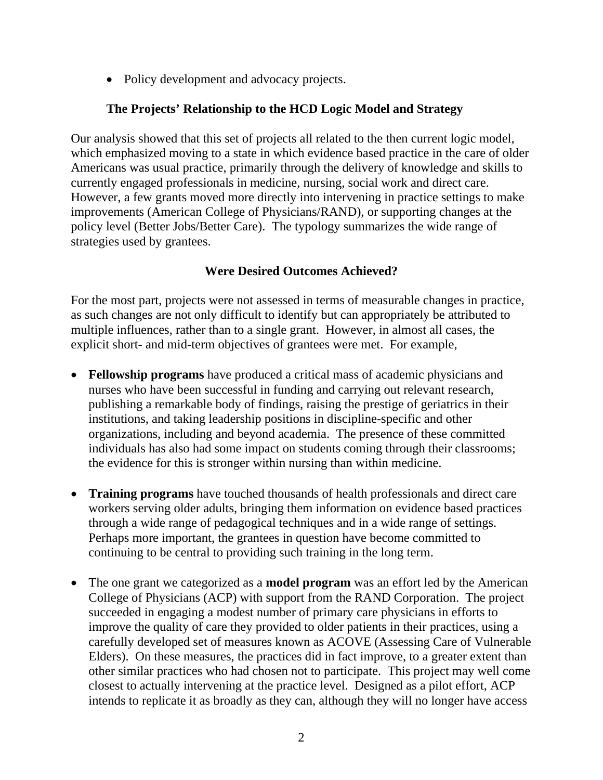• Policy development and advocacy projects.

### **The Projects' Relationship to the HCD Logic Model and Strategy**

Our analysis showed that this set of projects all related to the then current logic model, which emphasized moving to a state in which evidence based practice in the care of older Americans was usual practice, primarily through the delivery of knowledge and skills to currently engaged professionals in medicine, nursing, social work and direct care. However, a few grants moved more directly into intervening in practice settings to make improvements (American College of Physicians/RAND), or supporting changes at the policy level (Better Jobs/Better Care). The typology summarizes the wide range of strategies used by grantees.

### **Were Desired Outcomes Achieved?**

For the most part, projects were not assessed in terms of measurable changes in practice, as such changes are not only difficult to identify but can appropriately be attributed to multiple influences, rather than to a single grant. However, in almost all cases, the explicit short- and mid-term objectives of grantees were met. For example,

- **Fellowship programs** have produced a critical mass of academic physicians and nurses who have been successful in funding and carrying out relevant research, publishing a remarkable body of findings, raising the prestige of geriatrics in their institutions, and taking leadership positions in discipline-specific and other organizations, including and beyond academia. The presence of these committed individuals has also had some impact on students coming through their classrooms; the evidence for this is stronger within nursing than within medicine.
- **Training programs** have touched thousands of health professionals and direct care workers serving older adults, bringing them information on evidence based practices through a wide range of pedagogical techniques and in a wide range of settings. Perhaps more important, the grantees in question have become committed to continuing to be central to providing such training in the long term.
- The one grant we categorized as a **model program** was an effort led by the American College of Physicians (ACP) with support from the RAND Corporation. The project succeeded in engaging a modest number of primary care physicians in efforts to improve the quality of care they provided to older patients in their practices, using a carefully developed set of measures known as ACOVE (Assessing Care of Vulnerable Elders). On these measures, the practices did in fact improve, to a greater extent than other similar practices who had chosen not to participate. This project may well come closest to actually intervening at the practice level. Designed as a pilot effort, ACP intends to replicate it as broadly as they can, although they will no longer have access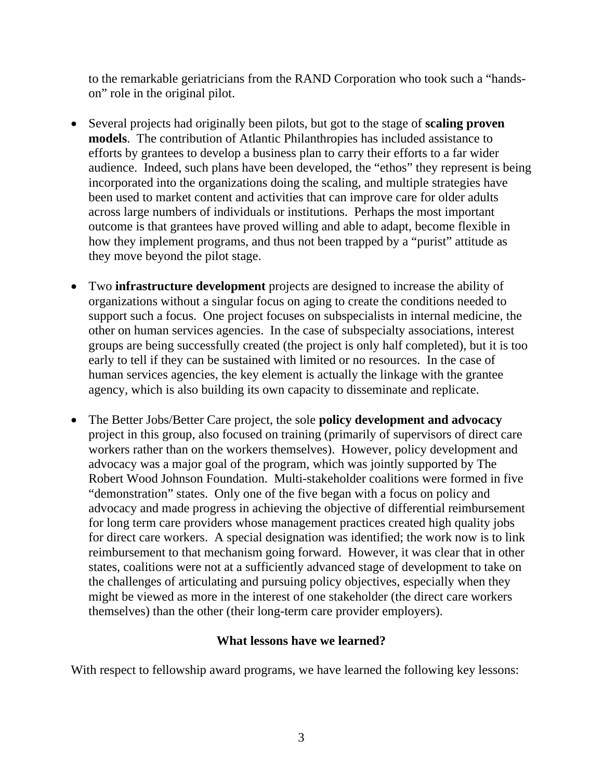to the remarkable geriatricians from the RAND Corporation who took such a "handson" role in the original pilot.

- Several projects had originally been pilots, but got to the stage of **scaling proven models**. The contribution of Atlantic Philanthropies has included assistance to efforts by grantees to develop a business plan to carry their efforts to a far wider audience. Indeed, such plans have been developed, the "ethos" they represent is being incorporated into the organizations doing the scaling, and multiple strategies have been used to market content and activities that can improve care for older adults across large numbers of individuals or institutions. Perhaps the most important outcome is that grantees have proved willing and able to adapt, become flexible in how they implement programs, and thus not been trapped by a "purist" attitude as they move beyond the pilot stage.
- Two **infrastructure development** projects are designed to increase the ability of organizations without a singular focus on aging to create the conditions needed to support such a focus. One project focuses on subspecialists in internal medicine, the other on human services agencies. In the case of subspecialty associations, interest groups are being successfully created (the project is only half completed), but it is too early to tell if they can be sustained with limited or no resources. In the case of human services agencies, the key element is actually the linkage with the grantee agency, which is also building its own capacity to disseminate and replicate.
- The Better Jobs/Better Care project, the sole **policy development and advocacy**  project in this group, also focused on training (primarily of supervisors of direct care workers rather than on the workers themselves). However, policy development and advocacy was a major goal of the program, which was jointly supported by The Robert Wood Johnson Foundation. Multi-stakeholder coalitions were formed in five "demonstration" states. Only one of the five began with a focus on policy and advocacy and made progress in achieving the objective of differential reimbursement for long term care providers whose management practices created high quality jobs for direct care workers. A special designation was identified; the work now is to link reimbursement to that mechanism going forward. However, it was clear that in other states, coalitions were not at a sufficiently advanced stage of development to take on the challenges of articulating and pursuing policy objectives, especially when they might be viewed as more in the interest of one stakeholder (the direct care workers themselves) than the other (their long-term care provider employers).

#### **What lessons have we learned?**

With respect to fellowship award programs, we have learned the following key lessons: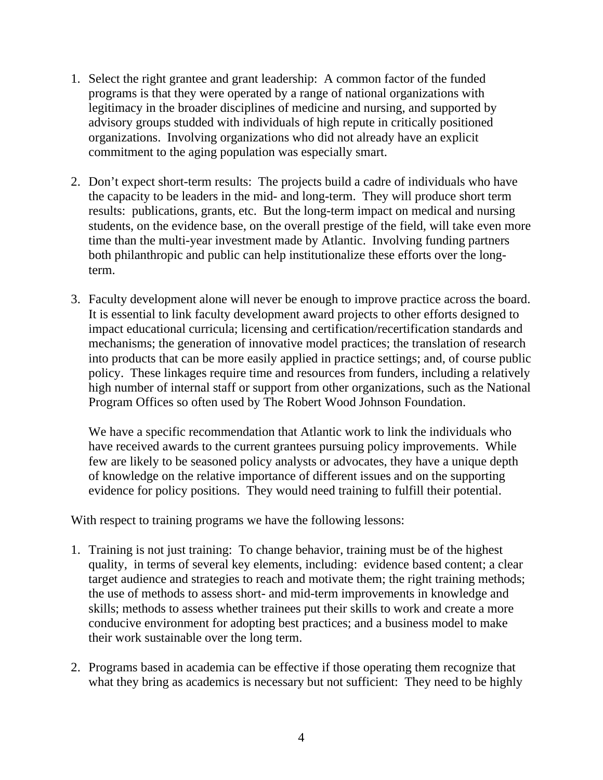- 1. Select the right grantee and grant leadership: A common factor of the funded programs is that they were operated by a range of national organizations with legitimacy in the broader disciplines of medicine and nursing, and supported by advisory groups studded with individuals of high repute in critically positioned organizations. Involving organizations who did not already have an explicit commitment to the aging population was especially smart.
- 2. Don't expect short-term results: The projects build a cadre of individuals who have the capacity to be leaders in the mid- and long-term. They will produce short term results: publications, grants, etc. But the long-term impact on medical and nursing students, on the evidence base, on the overall prestige of the field, will take even more time than the multi-year investment made by Atlantic. Involving funding partners both philanthropic and public can help institutionalize these efforts over the longterm.
- 3. Faculty development alone will never be enough to improve practice across the board. It is essential to link faculty development award projects to other efforts designed to impact educational curricula; licensing and certification/recertification standards and mechanisms; the generation of innovative model practices; the translation of research into products that can be more easily applied in practice settings; and, of course public policy. These linkages require time and resources from funders, including a relatively high number of internal staff or support from other organizations, such as the National Program Offices so often used by The Robert Wood Johnson Foundation.

We have a specific recommendation that Atlantic work to link the individuals who have received awards to the current grantees pursuing policy improvements. While few are likely to be seasoned policy analysts or advocates, they have a unique depth of knowledge on the relative importance of different issues and on the supporting evidence for policy positions. They would need training to fulfill their potential.

With respect to training programs we have the following lessons:

- 1. Training is not just training: To change behavior, training must be of the highest quality, in terms of several key elements, including: evidence based content; a clear target audience and strategies to reach and motivate them; the right training methods; the use of methods to assess short- and mid-term improvements in knowledge and skills; methods to assess whether trainees put their skills to work and create a more conducive environment for adopting best practices; and a business model to make their work sustainable over the long term.
- 2. Programs based in academia can be effective if those operating them recognize that what they bring as academics is necessary but not sufficient: They need to be highly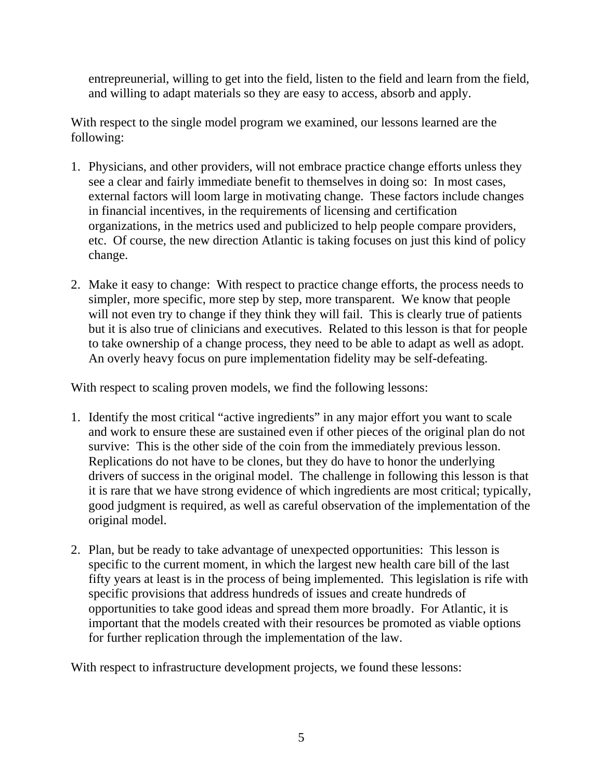entrepreunerial, willing to get into the field, listen to the field and learn from the field, and willing to adapt materials so they are easy to access, absorb and apply.

With respect to the single model program we examined, our lessons learned are the following:

- 1. Physicians, and other providers, will not embrace practice change efforts unless they see a clear and fairly immediate benefit to themselves in doing so: In most cases, external factors will loom large in motivating change. These factors include changes in financial incentives, in the requirements of licensing and certification organizations, in the metrics used and publicized to help people compare providers, etc. Of course, the new direction Atlantic is taking focuses on just this kind of policy change.
- 2. Make it easy to change: With respect to practice change efforts, the process needs to simpler, more specific, more step by step, more transparent. We know that people will not even try to change if they think they will fail. This is clearly true of patients but it is also true of clinicians and executives. Related to this lesson is that for people to take ownership of a change process, they need to be able to adapt as well as adopt. An overly heavy focus on pure implementation fidelity may be self-defeating.

With respect to scaling proven models, we find the following lessons:

- 1. Identify the most critical "active ingredients" in any major effort you want to scale and work to ensure these are sustained even if other pieces of the original plan do not survive: This is the other side of the coin from the immediately previous lesson. Replications do not have to be clones, but they do have to honor the underlying drivers of success in the original model. The challenge in following this lesson is that it is rare that we have strong evidence of which ingredients are most critical; typically, good judgment is required, as well as careful observation of the implementation of the original model.
- 2. Plan, but be ready to take advantage of unexpected opportunities: This lesson is specific to the current moment, in which the largest new health care bill of the last fifty years at least is in the process of being implemented. This legislation is rife with specific provisions that address hundreds of issues and create hundreds of opportunities to take good ideas and spread them more broadly. For Atlantic, it is important that the models created with their resources be promoted as viable options for further replication through the implementation of the law.

With respect to infrastructure development projects, we found these lessons: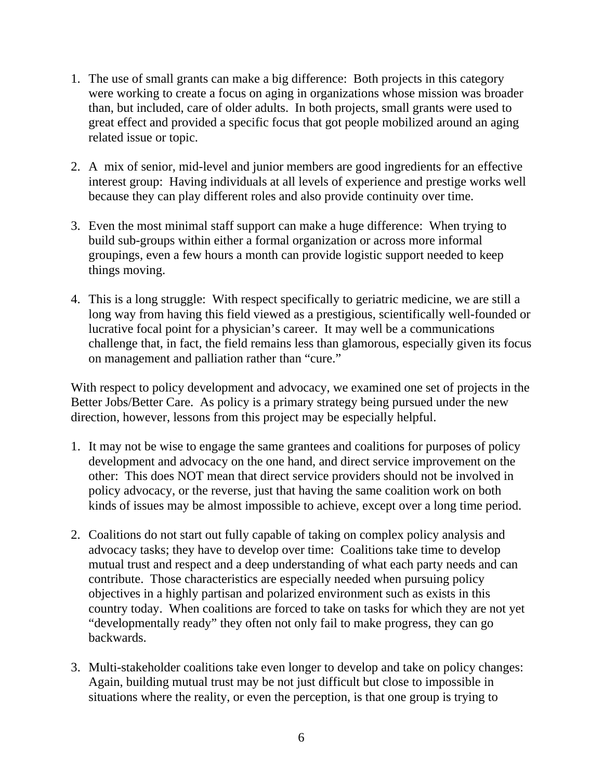- 1. The use of small grants can make a big difference: Both projects in this category were working to create a focus on aging in organizations whose mission was broader than, but included, care of older adults. In both projects, small grants were used to great effect and provided a specific focus that got people mobilized around an aging related issue or topic.
- 2. A mix of senior, mid-level and junior members are good ingredients for an effective interest group: Having individuals at all levels of experience and prestige works well because they can play different roles and also provide continuity over time.
- 3. Even the most minimal staff support can make a huge difference: When trying to build sub-groups within either a formal organization or across more informal groupings, even a few hours a month can provide logistic support needed to keep things moving.
- 4. This is a long struggle: With respect specifically to geriatric medicine, we are still a long way from having this field viewed as a prestigious, scientifically well-founded or lucrative focal point for a physician's career. It may well be a communications challenge that, in fact, the field remains less than glamorous, especially given its focus on management and palliation rather than "cure."

With respect to policy development and advocacy, we examined one set of projects in the Better Jobs/Better Care. As policy is a primary strategy being pursued under the new direction, however, lessons from this project may be especially helpful.

- 1. It may not be wise to engage the same grantees and coalitions for purposes of policy development and advocacy on the one hand, and direct service improvement on the other: This does NOT mean that direct service providers should not be involved in policy advocacy, or the reverse, just that having the same coalition work on both kinds of issues may be almost impossible to achieve, except over a long time period.
- 2. Coalitions do not start out fully capable of taking on complex policy analysis and advocacy tasks; they have to develop over time: Coalitions take time to develop mutual trust and respect and a deep understanding of what each party needs and can contribute. Those characteristics are especially needed when pursuing policy objectives in a highly partisan and polarized environment such as exists in this country today. When coalitions are forced to take on tasks for which they are not yet "developmentally ready" they often not only fail to make progress, they can go backwards.
- 3. Multi-stakeholder coalitions take even longer to develop and take on policy changes: Again, building mutual trust may be not just difficult but close to impossible in situations where the reality, or even the perception, is that one group is trying to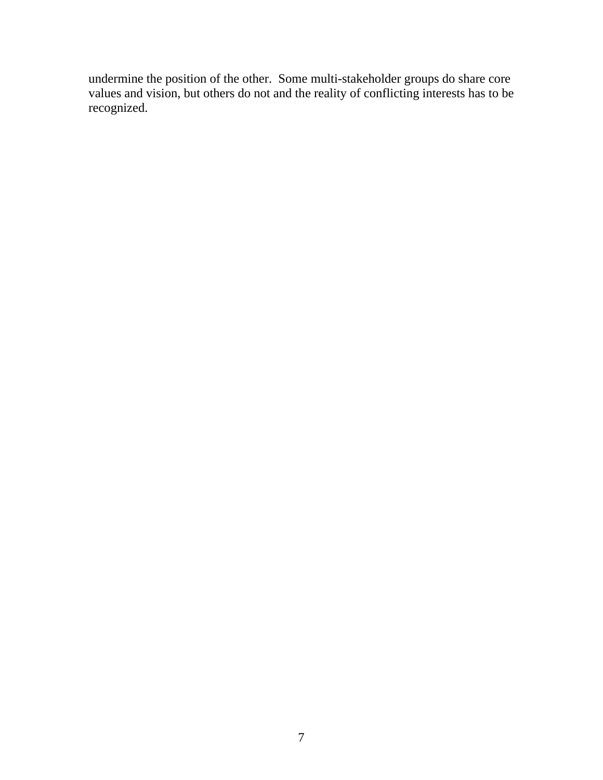undermine the position of the other. Some multi-stakeholder groups do share core values and vision, but others do not and the reality of conflicting interests has to be recognized.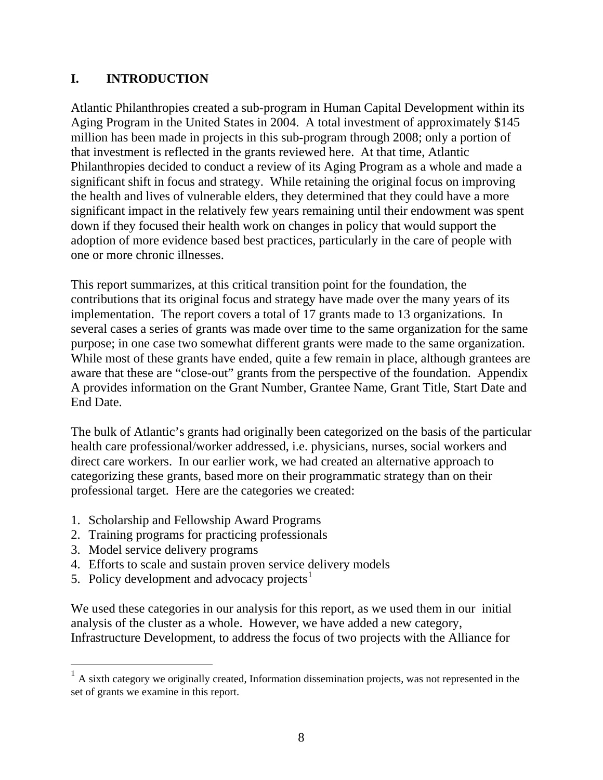## <span id="page-7-0"></span>**I. INTRODUCTION**

Atlantic Philanthropies created a sub-program in Human Capital Development within its Aging Program in the United States in 2004. A total investment of approximately \$145 million has been made in projects in this sub-program through 2008; only a portion of that investment is reflected in the grants reviewed here. At that time, Atlantic Philanthropies decided to conduct a review of its Aging Program as a whole and made a significant shift in focus and strategy. While retaining the original focus on improving the health and lives of vulnerable elders, they determined that they could have a more significant impact in the relatively few years remaining until their endowment was spent down if they focused their health work on changes in policy that would support the adoption of more evidence based best practices, particularly in the care of people with one or more chronic illnesses.

This report summarizes, at this critical transition point for the foundation, the contributions that its original focus and strategy have made over the many years of its implementation. The report covers a total of 17 grants made to 13 organizations. In several cases a series of grants was made over time to the same organization for the same purpose; in one case two somewhat different grants were made to the same organization. While most of these grants have ended, quite a few remain in place, although grantees are aware that these are "close-out" grants from the perspective of the foundation. Appendix A provides information on the Grant Number, Grantee Name, Grant Title, Start Date and End Date.

The bulk of Atlantic's grants had originally been categorized on the basis of the particular health care professional/worker addressed, i.e. physicians, nurses, social workers and direct care workers. In our earlier work, we had created an alternative approach to categorizing these grants, based more on their programmatic strategy than on their professional target. Here are the categories we created:

- 1. Scholarship and Fellowship Award Programs
- 2. Training programs for practicing professionals
- 3. Model service delivery programs

 $\overline{a}$ 

- 4. Efforts to scale and sustain proven service delivery models
- 5. Policy development and advocacy projects<sup>[1](#page-7-0)</sup>

We used these categories in our analysis for this report, as we used them in our initial analysis of the cluster as a whole. However, we have added a new category, Infrastructure Development, to address the focus of two projects with the Alliance for

 $1$  A sixth category we originally created, Information dissemination projects, was not represented in the set of grants we examine in this report.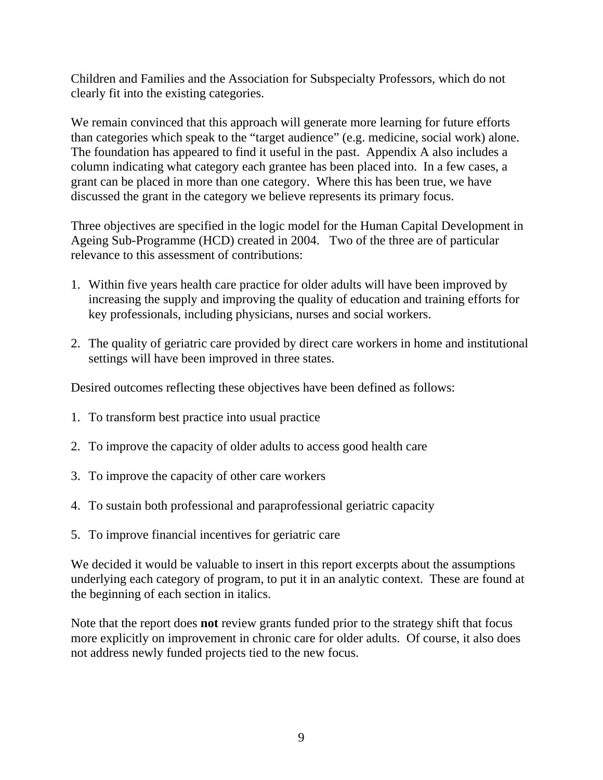Children and Families and the Association for Subspecialty Professors, which do not clearly fit into the existing categories.

We remain convinced that this approach will generate more learning for future efforts than categories which speak to the "target audience" (e.g. medicine, social work) alone. The foundation has appeared to find it useful in the past. Appendix A also includes a column indicating what category each grantee has been placed into. In a few cases, a grant can be placed in more than one category. Where this has been true, we have discussed the grant in the category we believe represents its primary focus.

Three objectives are specified in the logic model for the Human Capital Development in Ageing Sub-Programme (HCD) created in 2004. Two of the three are of particular relevance to this assessment of contributions:

- 1. Within five years health care practice for older adults will have been improved by increasing the supply and improving the quality of education and training efforts for key professionals, including physicians, nurses and social workers.
- 2. The quality of geriatric care provided by direct care workers in home and institutional settings will have been improved in three states.

Desired outcomes reflecting these objectives have been defined as follows:

- 1. To transform best practice into usual practice
- 2. To improve the capacity of older adults to access good health care
- 3. To improve the capacity of other care workers
- 4. To sustain both professional and paraprofessional geriatric capacity
- 5. To improve financial incentives for geriatric care

We decided it would be valuable to insert in this report excerpts about the assumptions underlying each category of program, to put it in an analytic context. These are found at the beginning of each section in italics.

Note that the report does **not** review grants funded prior to the strategy shift that focus more explicitly on improvement in chronic care for older adults. Of course, it also does not address newly funded projects tied to the new focus.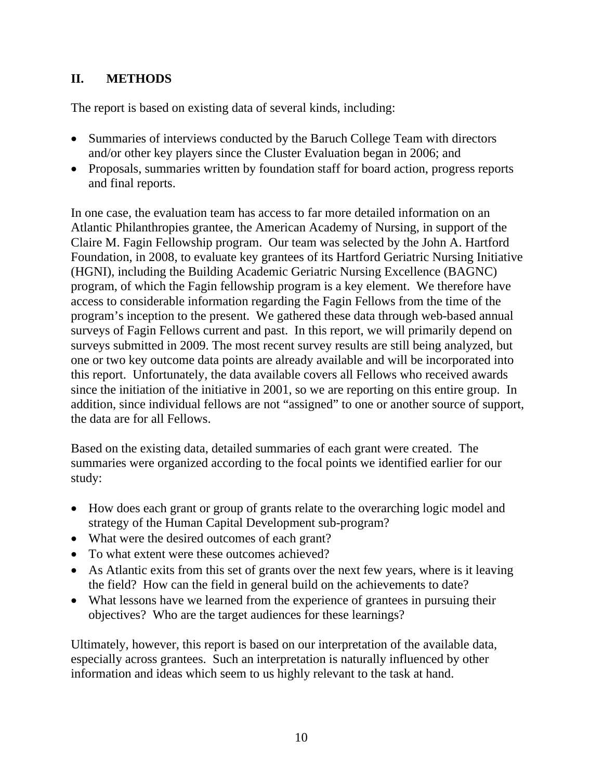# **II. METHODS**

The report is based on existing data of several kinds, including:

- Summaries of interviews conducted by the Baruch College Team with directors and/or other key players since the Cluster Evaluation began in 2006; and
- Proposals, summaries written by foundation staff for board action, progress reports and final reports.

In one case, the evaluation team has access to far more detailed information on an Atlantic Philanthropies grantee, the American Academy of Nursing, in support of the Claire M. Fagin Fellowship program. Our team was selected by the John A. Hartford Foundation, in 2008, to evaluate key grantees of its Hartford Geriatric Nursing Initiative (HGNI), including the Building Academic Geriatric Nursing Excellence (BAGNC) program, of which the Fagin fellowship program is a key element. We therefore have access to considerable information regarding the Fagin Fellows from the time of the program's inception to the present. We gathered these data through web-based annual surveys of Fagin Fellows current and past. In this report, we will primarily depend on surveys submitted in 2009. The most recent survey results are still being analyzed, but one or two key outcome data points are already available and will be incorporated into this report. Unfortunately, the data available covers all Fellows who received awards since the initiation of the initiative in 2001, so we are reporting on this entire group. In addition, since individual fellows are not "assigned" to one or another source of support, the data are for all Fellows.

Based on the existing data, detailed summaries of each grant were created. The summaries were organized according to the focal points we identified earlier for our study:

- How does each grant or group of grants relate to the overarching logic model and strategy of the Human Capital Development sub-program?
- What were the desired outcomes of each grant?
- To what extent were these outcomes achieved?
- As Atlantic exits from this set of grants over the next few years, where is it leaving the field? How can the field in general build on the achievements to date?
- What lessons have we learned from the experience of grantees in pursuing their objectives? Who are the target audiences for these learnings?

Ultimately, however, this report is based on our interpretation of the available data, especially across grantees. Such an interpretation is naturally influenced by other information and ideas which seem to us highly relevant to the task at hand.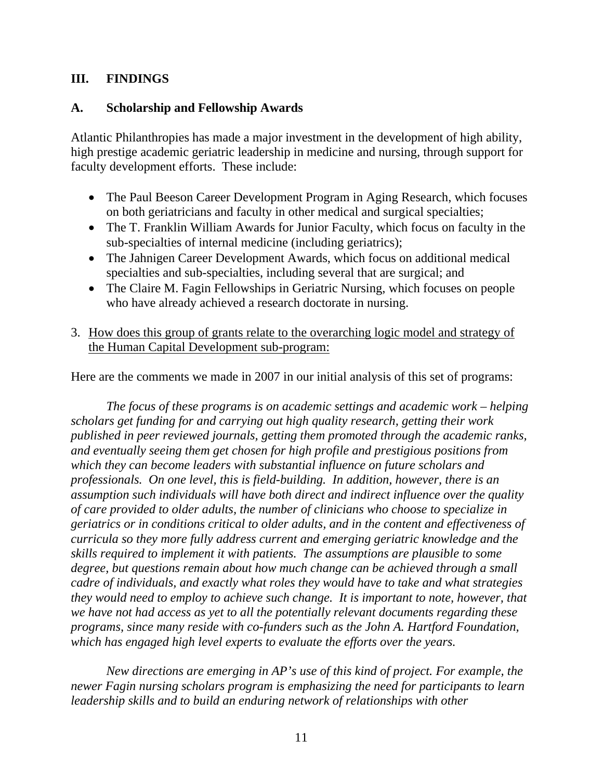### **III. FINDINGS**

#### **A. Scholarship and Fellowship Awards**

Atlantic Philanthropies has made a major investment in the development of high ability, high prestige academic geriatric leadership in medicine and nursing, through support for faculty development efforts. These include:

- The Paul Beeson Career Development Program in Aging Research, which focuses on both geriatricians and faculty in other medical and surgical specialties;
- The T. Franklin William Awards for Junior Faculty, which focus on faculty in the sub-specialties of internal medicine (including geriatrics);
- The Jahnigen Career Development Awards, which focus on additional medical specialties and sub-specialties, including several that are surgical; and
- The Claire M. Fagin Fellowships in Geriatric Nursing, which focuses on people who have already achieved a research doctorate in nursing.
- 3. How does this group of grants relate to the overarching logic model and strategy of the Human Capital Development sub-program:

Here are the comments we made in 2007 in our initial analysis of this set of programs:

*The focus of these programs is on academic settings and academic work – helping scholars get funding for and carrying out high quality research, getting their work published in peer reviewed journals, getting them promoted through the academic ranks, and eventually seeing them get chosen for high profile and prestigious positions from which they can become leaders with substantial influence on future scholars and professionals. On one level, this is field-building. In addition, however, there is an assumption such individuals will have both direct and indirect influence over the quality of care provided to older adults, the number of clinicians who choose to specialize in geriatrics or in conditions critical to older adults, and in the content and effectiveness of curricula so they more fully address current and emerging geriatric knowledge and the skills required to implement it with patients. The assumptions are plausible to some degree, but questions remain about how much change can be achieved through a small cadre of individuals, and exactly what roles they would have to take and what strategies they would need to employ to achieve such change. It is important to note, however, that we have not had access as yet to all the potentially relevant documents regarding these programs, since many reside with co-funders such as the John A. Hartford Foundation, which has engaged high level experts to evaluate the efforts over the years.* 

*New directions are emerging in AP's use of this kind of project. For example, the newer Fagin nursing scholars program is emphasizing the need for participants to learn leadership skills and to build an enduring network of relationships with other*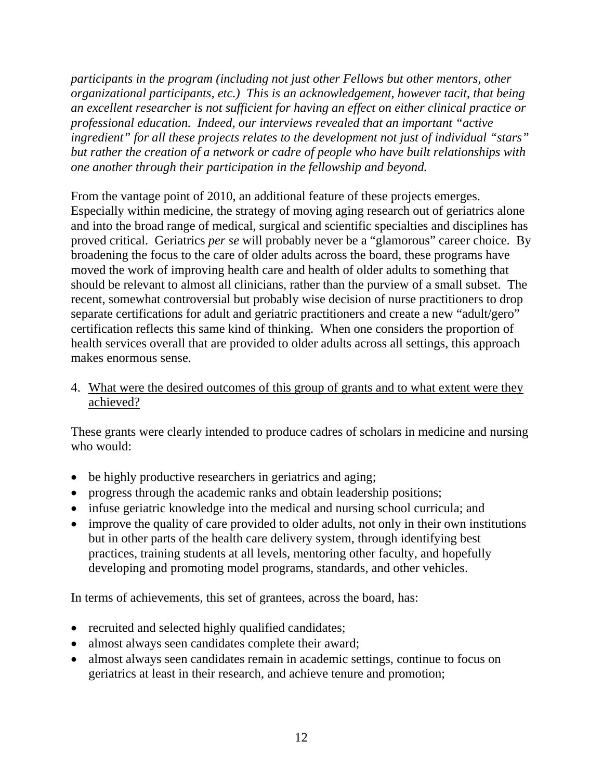*participants in the program (including not just other Fellows but other mentors, other organizational participants, etc.) This is an acknowledgement, however tacit, that being an excellent researcher is not sufficient for having an effect on either clinical practice or professional education. Indeed, our interviews revealed that an important "active ingredient" for all these projects relates to the development not just of individual "stars" but rather the creation of a network or cadre of people who have built relationships with one another through their participation in the fellowship and beyond.* 

From the vantage point of 2010, an additional feature of these projects emerges. Especially within medicine, the strategy of moving aging research out of geriatrics alone and into the broad range of medical, surgical and scientific specialties and disciplines has proved critical. Geriatrics *per se* will probably never be a "glamorous" career choice. By broadening the focus to the care of older adults across the board, these programs have moved the work of improving health care and health of older adults to something that should be relevant to almost all clinicians, rather than the purview of a small subset. The recent, somewhat controversial but probably wise decision of nurse practitioners to drop separate certifications for adult and geriatric practitioners and create a new "adult/gero" certification reflects this same kind of thinking. When one considers the proportion of health services overall that are provided to older adults across all settings, this approach makes enormous sense.

#### 4. What were the desired outcomes of this group of grants and to what extent were they achieved?

These grants were clearly intended to produce cadres of scholars in medicine and nursing who would:

- be highly productive researchers in geriatrics and aging;
- progress through the academic ranks and obtain leadership positions;
- infuse geriatric knowledge into the medical and nursing school curricula; and
- improve the quality of care provided to older adults, not only in their own institutions but in other parts of the health care delivery system, through identifying best practices, training students at all levels, mentoring other faculty, and hopefully developing and promoting model programs, standards, and other vehicles.

In terms of achievements, this set of grantees, across the board, has:

- recruited and selected highly qualified candidates;
- almost always seen candidates complete their award;
- almost always seen candidates remain in academic settings, continue to focus on geriatrics at least in their research, and achieve tenure and promotion;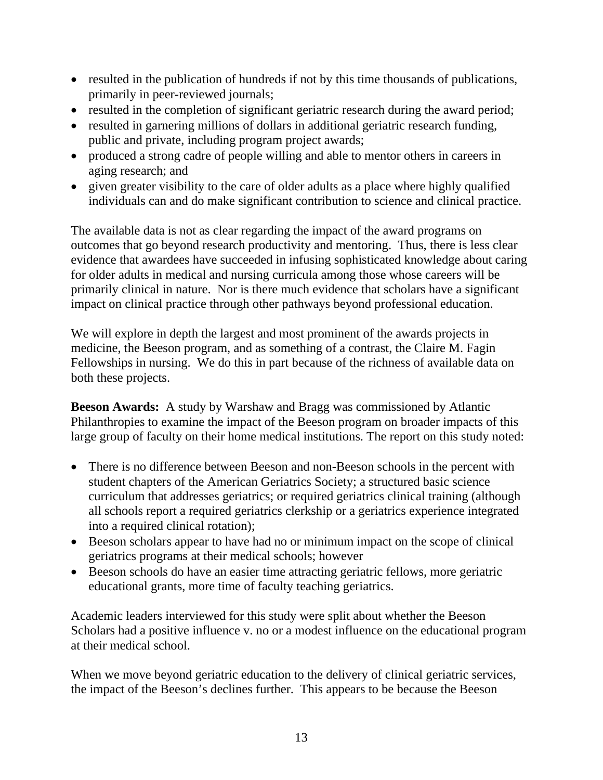- resulted in the publication of hundreds if not by this time thousands of publications, primarily in peer-reviewed journals;
- resulted in the completion of significant geriatric research during the award period;
- resulted in garnering millions of dollars in additional geriatric research funding, public and private, including program project awards;
- produced a strong cadre of people willing and able to mentor others in careers in aging research; and
- given greater visibility to the care of older adults as a place where highly qualified individuals can and do make significant contribution to science and clinical practice.

The available data is not as clear regarding the impact of the award programs on outcomes that go beyond research productivity and mentoring. Thus, there is less clear evidence that awardees have succeeded in infusing sophisticated knowledge about caring for older adults in medical and nursing curricula among those whose careers will be primarily clinical in nature. Nor is there much evidence that scholars have a significant impact on clinical practice through other pathways beyond professional education.

We will explore in depth the largest and most prominent of the awards projects in medicine, the Beeson program, and as something of a contrast, the Claire M. Fagin Fellowships in nursing. We do this in part because of the richness of available data on both these projects.

**Beeson Awards:** A study by Warshaw and Bragg was commissioned by Atlantic Philanthropies to examine the impact of the Beeson program on broader impacts of this large group of faculty on their home medical institutions. The report on this study noted:

- There is no difference between Beeson and non-Beeson schools in the percent with student chapters of the American Geriatrics Society; a structured basic science curriculum that addresses geriatrics; or required geriatrics clinical training (although all schools report a required geriatrics clerkship or a geriatrics experience integrated into a required clinical rotation);
- Beeson scholars appear to have had no or minimum impact on the scope of clinical geriatrics programs at their medical schools; however
- Beeson schools do have an easier time attracting geriatric fellows, more geriatric educational grants, more time of faculty teaching geriatrics.

Academic leaders interviewed for this study were split about whether the Beeson Scholars had a positive influence v. no or a modest influence on the educational program at their medical school.

When we move beyond geriatric education to the delivery of clinical geriatric services, the impact of the Beeson's declines further. This appears to be because the Beeson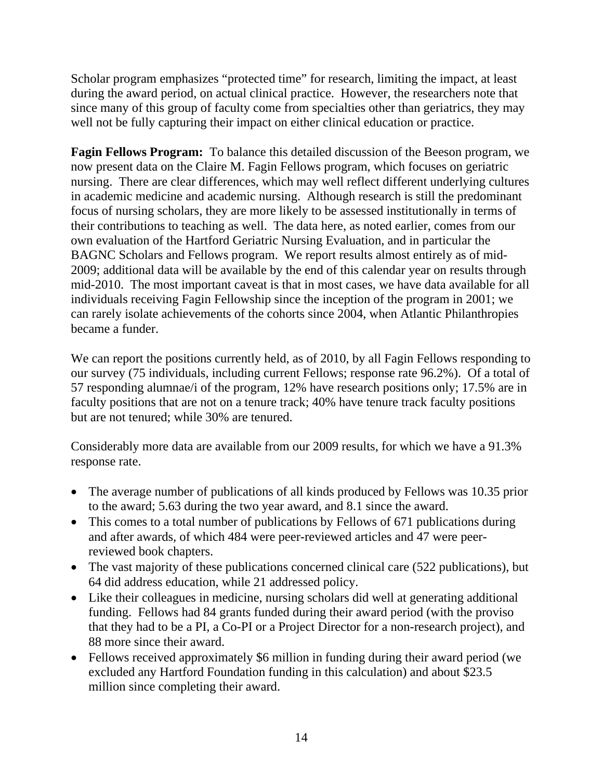Scholar program emphasizes "protected time" for research, limiting the impact, at least during the award period, on actual clinical practice. However, the researchers note that since many of this group of faculty come from specialties other than geriatrics, they may well not be fully capturing their impact on either clinical education or practice.

**Fagin Fellows Program:** To balance this detailed discussion of the Beeson program, we now present data on the Claire M. Fagin Fellows program, which focuses on geriatric nursing. There are clear differences, which may well reflect different underlying cultures in academic medicine and academic nursing. Although research is still the predominant focus of nursing scholars, they are more likely to be assessed institutionally in terms of their contributions to teaching as well. The data here, as noted earlier, comes from our own evaluation of the Hartford Geriatric Nursing Evaluation, and in particular the BAGNC Scholars and Fellows program. We report results almost entirely as of mid-2009; additional data will be available by the end of this calendar year on results through mid-2010. The most important caveat is that in most cases, we have data available for all individuals receiving Fagin Fellowship since the inception of the program in 2001; we can rarely isolate achievements of the cohorts since 2004, when Atlantic Philanthropies became a funder.

We can report the positions currently held, as of 2010, by all Fagin Fellows responding to our survey (75 individuals, including current Fellows; response rate 96.2%). Of a total of 57 responding alumnae/i of the program, 12% have research positions only; 17.5% are in faculty positions that are not on a tenure track; 40% have tenure track faculty positions but are not tenured; while 30% are tenured.

Considerably more data are available from our 2009 results, for which we have a 91.3% response rate.

- The average number of publications of all kinds produced by Fellows was 10.35 prior to the award; 5.63 during the two year award, and 8.1 since the award.
- This comes to a total number of publications by Fellows of 671 publications during and after awards, of which 484 were peer-reviewed articles and 47 were peerreviewed book chapters.
- The vast majority of these publications concerned clinical care (522 publications), but 64 did address education, while 21 addressed policy.
- Like their colleagues in medicine, nursing scholars did well at generating additional funding. Fellows had 84 grants funded during their award period (with the proviso that they had to be a PI, a Co-PI or a Project Director for a non-research project), and 88 more since their award.
- Fellows received approximately \$6 million in funding during their award period (we excluded any Hartford Foundation funding in this calculation) and about \$23.5 million since completing their award.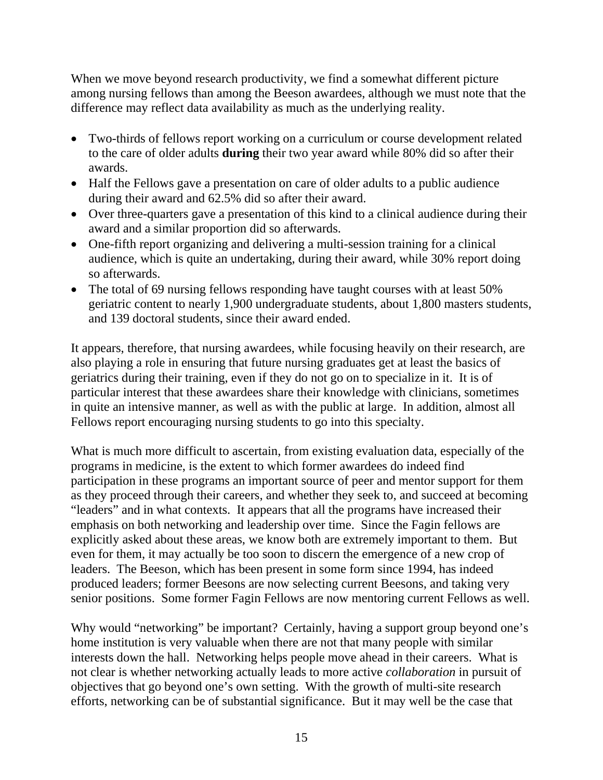When we move beyond research productivity, we find a somewhat different picture among nursing fellows than among the Beeson awardees, although we must note that the difference may reflect data availability as much as the underlying reality.

- Two-thirds of fellows report working on a curriculum or course development related to the care of older adults **during** their two year award while 80% did so after their awards.
- Half the Fellows gave a presentation on care of older adults to a public audience during their award and 62.5% did so after their award.
- Over three-quarters gave a presentation of this kind to a clinical audience during their award and a similar proportion did so afterwards.
- One-fifth report organizing and delivering a multi-session training for a clinical audience, which is quite an undertaking, during their award, while 30% report doing so afterwards.
- The total of 69 nursing fellows responding have taught courses with at least 50% geriatric content to nearly 1,900 undergraduate students, about 1,800 masters students, and 139 doctoral students, since their award ended.

It appears, therefore, that nursing awardees, while focusing heavily on their research, are also playing a role in ensuring that future nursing graduates get at least the basics of geriatrics during their training, even if they do not go on to specialize in it. It is of particular interest that these awardees share their knowledge with clinicians, sometimes in quite an intensive manner, as well as with the public at large. In addition, almost all Fellows report encouraging nursing students to go into this specialty.

What is much more difficult to ascertain, from existing evaluation data, especially of the programs in medicine, is the extent to which former awardees do indeed find participation in these programs an important source of peer and mentor support for them as they proceed through their careers, and whether they seek to, and succeed at becoming "leaders" and in what contexts. It appears that all the programs have increased their emphasis on both networking and leadership over time. Since the Fagin fellows are explicitly asked about these areas, we know both are extremely important to them. But even for them, it may actually be too soon to discern the emergence of a new crop of leaders. The Beeson, which has been present in some form since 1994, has indeed produced leaders; former Beesons are now selecting current Beesons, and taking very senior positions. Some former Fagin Fellows are now mentoring current Fellows as well.

Why would "networking" be important? Certainly, having a support group beyond one's home institution is very valuable when there are not that many people with similar interests down the hall. Networking helps people move ahead in their careers. What is not clear is whether networking actually leads to more active *collaboration* in pursuit of objectives that go beyond one's own setting. With the growth of multi-site research efforts, networking can be of substantial significance. But it may well be the case that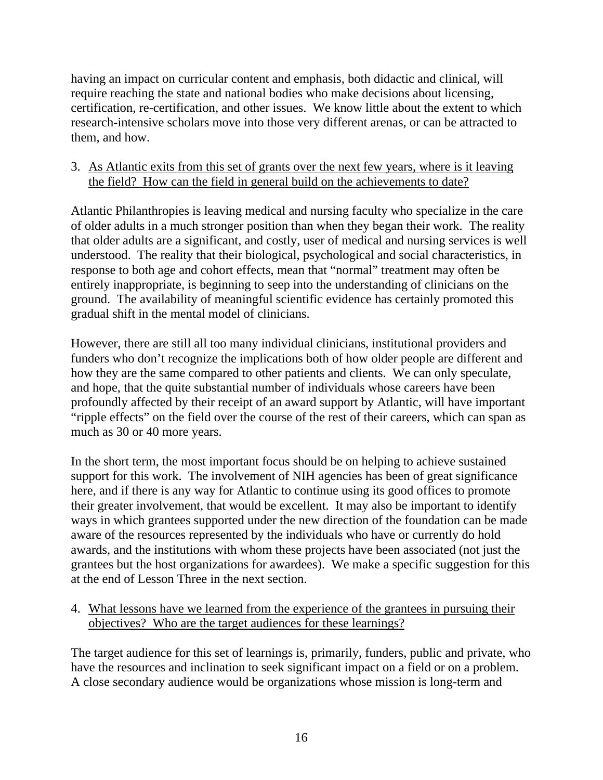having an impact on curricular content and emphasis, both didactic and clinical, will require reaching the state and national bodies who make decisions about licensing, certification, re-certification, and other issues. We know little about the extent to which research-intensive scholars move into those very different arenas, or can be attracted to them, and how.

### 3. As Atlantic exits from this set of grants over the next few years, where is it leaving the field? How can the field in general build on the achievements to date?

Atlantic Philanthropies is leaving medical and nursing faculty who specialize in the care of older adults in a much stronger position than when they began their work. The reality that older adults are a significant, and costly, user of medical and nursing services is well understood. The reality that their biological, psychological and social characteristics, in response to both age and cohort effects, mean that "normal" treatment may often be entirely inappropriate, is beginning to seep into the understanding of clinicians on the ground. The availability of meaningful scientific evidence has certainly promoted this gradual shift in the mental model of clinicians.

However, there are still all too many individual clinicians, institutional providers and funders who don't recognize the implications both of how older people are different and how they are the same compared to other patients and clients. We can only speculate, and hope, that the quite substantial number of individuals whose careers have been profoundly affected by their receipt of an award support by Atlantic, will have important "ripple effects" on the field over the course of the rest of their careers, which can span as much as 30 or 40 more years.

In the short term, the most important focus should be on helping to achieve sustained support for this work. The involvement of NIH agencies has been of great significance here, and if there is any way for Atlantic to continue using its good offices to promote their greater involvement, that would be excellent. It may also be important to identify ways in which grantees supported under the new direction of the foundation can be made aware of the resources represented by the individuals who have or currently do hold awards, and the institutions with whom these projects have been associated (not just the grantees but the host organizations for awardees). We make a specific suggestion for this at the end of Lesson Three in the next section.

4. What lessons have we learned from the experience of the grantees in pursuing their objectives? Who are the target audiences for these learnings?

The target audience for this set of learnings is, primarily, funders, public and private, who have the resources and inclination to seek significant impact on a field or on a problem. A close secondary audience would be organizations whose mission is long-term and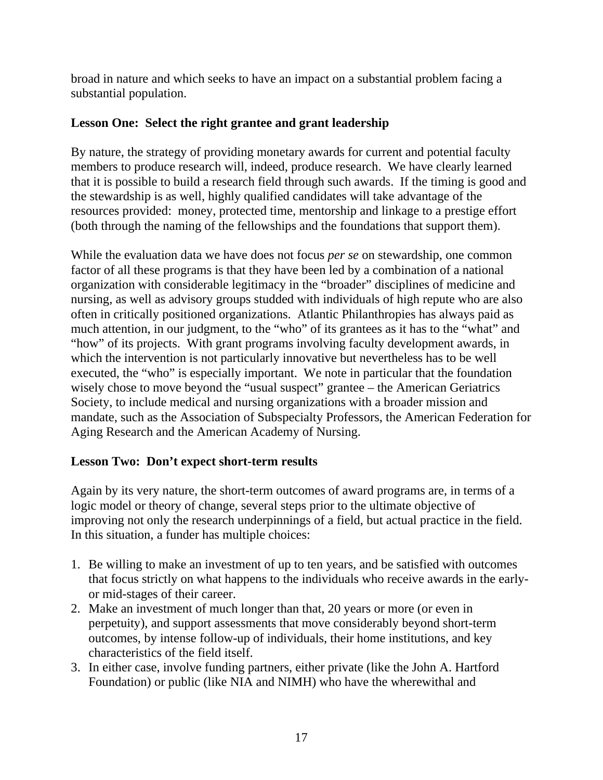broad in nature and which seeks to have an impact on a substantial problem facing a substantial population.

## **Lesson One: Select the right grantee and grant leadership**

By nature, the strategy of providing monetary awards for current and potential faculty members to produce research will, indeed, produce research. We have clearly learned that it is possible to build a research field through such awards. If the timing is good and the stewardship is as well, highly qualified candidates will take advantage of the resources provided: money, protected time, mentorship and linkage to a prestige effort (both through the naming of the fellowships and the foundations that support them).

While the evaluation data we have does not focus *per se* on stewardship, one common factor of all these programs is that they have been led by a combination of a national organization with considerable legitimacy in the "broader" disciplines of medicine and nursing, as well as advisory groups studded with individuals of high repute who are also often in critically positioned organizations. Atlantic Philanthropies has always paid as much attention, in our judgment, to the "who" of its grantees as it has to the "what" and "how" of its projects. With grant programs involving faculty development awards, in which the intervention is not particularly innovative but nevertheless has to be well executed, the "who" is especially important. We note in particular that the foundation wisely chose to move beyond the "usual suspect" grantee – the American Geriatrics Society, to include medical and nursing organizations with a broader mission and mandate, such as the Association of Subspecialty Professors, the American Federation for Aging Research and the American Academy of Nursing.

## **Lesson Two: Don't expect short-term results**

Again by its very nature, the short-term outcomes of award programs are, in terms of a logic model or theory of change, several steps prior to the ultimate objective of improving not only the research underpinnings of a field, but actual practice in the field. In this situation, a funder has multiple choices:

- 1. Be willing to make an investment of up to ten years, and be satisfied with outcomes that focus strictly on what happens to the individuals who receive awards in the earlyor mid-stages of their career.
- 2. Make an investment of much longer than that, 20 years or more (or even in perpetuity), and support assessments that move considerably beyond short-term outcomes, by intense follow-up of individuals, their home institutions, and key characteristics of the field itself.
- 3. In either case, involve funding partners, either private (like the John A. Hartford Foundation) or public (like NIA and NIMH) who have the wherewithal and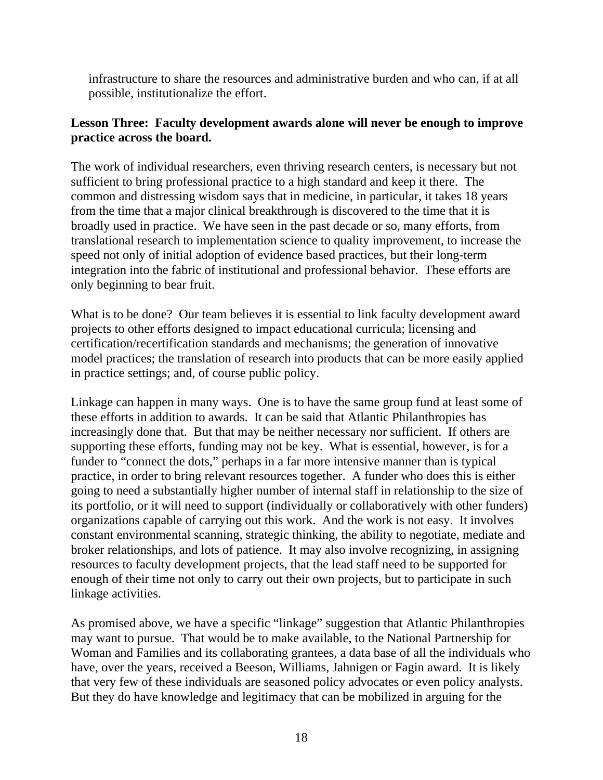infrastructure to share the resources and administrative burden and who can, if at all possible, institutionalize the effort.

### **Lesson Three: Faculty development awards alone will never be enough to improve practice across the board.**

The work of individual researchers, even thriving research centers, is necessary but not sufficient to bring professional practice to a high standard and keep it there. The common and distressing wisdom says that in medicine, in particular, it takes 18 years from the time that a major clinical breakthrough is discovered to the time that it is broadly used in practice. We have seen in the past decade or so, many efforts, from translational research to implementation science to quality improvement, to increase the speed not only of initial adoption of evidence based practices, but their long-term integration into the fabric of institutional and professional behavior. These efforts are only beginning to bear fruit.

What is to be done? Our team believes it is essential to link faculty development award projects to other efforts designed to impact educational curricula; licensing and certification/recertification standards and mechanisms; the generation of innovative model practices; the translation of research into products that can be more easily applied in practice settings; and, of course public policy.

Linkage can happen in many ways. One is to have the same group fund at least some of these efforts in addition to awards. It can be said that Atlantic Philanthropies has increasingly done that. But that may be neither necessary nor sufficient. If others are supporting these efforts, funding may not be key. What is essential, however, is for a funder to "connect the dots," perhaps in a far more intensive manner than is typical practice, in order to bring relevant resources together. A funder who does this is either going to need a substantially higher number of internal staff in relationship to the size of its portfolio, or it will need to support (individually or collaboratively with other funders) organizations capable of carrying out this work. And the work is not easy. It involves constant environmental scanning, strategic thinking, the ability to negotiate, mediate and broker relationships, and lots of patience. It may also involve recognizing, in assigning resources to faculty development projects, that the lead staff need to be supported for enough of their time not only to carry out their own projects, but to participate in such linkage activities.

As promised above, we have a specific "linkage" suggestion that Atlantic Philanthropies may want to pursue. That would be to make available, to the National Partnership for Woman and Families and its collaborating grantees, a data base of all the individuals who have, over the years, received a Beeson, Williams, Jahnigen or Fagin award. It is likely that very few of these individuals are seasoned policy advocates or even policy analysts. But they do have knowledge and legitimacy that can be mobilized in arguing for the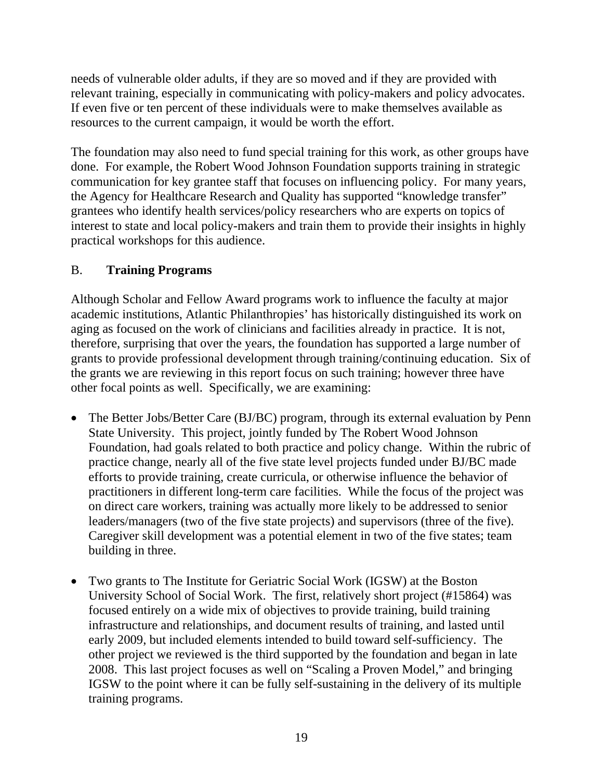needs of vulnerable older adults, if they are so moved and if they are provided with relevant training, especially in communicating with policy-makers and policy advocates. If even five or ten percent of these individuals were to make themselves available as resources to the current campaign, it would be worth the effort.

The foundation may also need to fund special training for this work, as other groups have done. For example, the Robert Wood Johnson Foundation supports training in strategic communication for key grantee staff that focuses on influencing policy. For many years, the Agency for Healthcare Research and Quality has supported "knowledge transfer" grantees who identify health services/policy researchers who are experts on topics of interest to state and local policy-makers and train them to provide their insights in highly practical workshops for this audience.

## B. **Training Programs**

Although Scholar and Fellow Award programs work to influence the faculty at major academic institutions, Atlantic Philanthropies' has historically distinguished its work on aging as focused on the work of clinicians and facilities already in practice. It is not, therefore, surprising that over the years, the foundation has supported a large number of grants to provide professional development through training/continuing education. Six of the grants we are reviewing in this report focus on such training; however three have other focal points as well. Specifically, we are examining:

- The Better Jobs/Better Care (BJ/BC) program, through its external evaluation by Penn State University. This project, jointly funded by The Robert Wood Johnson Foundation, had goals related to both practice and policy change. Within the rubric of practice change, nearly all of the five state level projects funded under BJ/BC made efforts to provide training, create curricula, or otherwise influence the behavior of practitioners in different long-term care facilities. While the focus of the project was on direct care workers, training was actually more likely to be addressed to senior leaders/managers (two of the five state projects) and supervisors (three of the five). Caregiver skill development was a potential element in two of the five states; team building in three.
- Two grants to The Institute for Geriatric Social Work (IGSW) at the Boston University School of Social Work. The first, relatively short project (#15864) was focused entirely on a wide mix of objectives to provide training, build training infrastructure and relationships, and document results of training, and lasted until early 2009, but included elements intended to build toward self-sufficiency. The other project we reviewed is the third supported by the foundation and began in late 2008. This last project focuses as well on "Scaling a Proven Model," and bringing IGSW to the point where it can be fully self-sustaining in the delivery of its multiple training programs.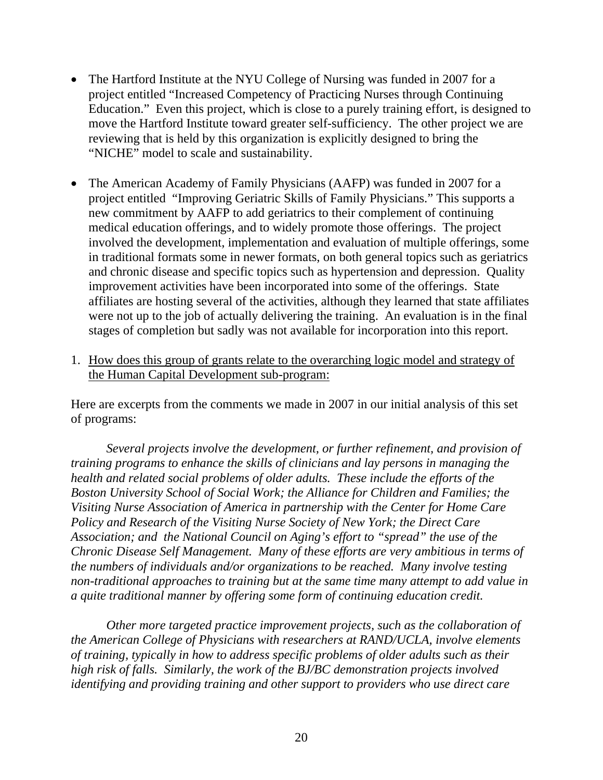- The Hartford Institute at the NYU College of Nursing was funded in 2007 for a project entitled "Increased Competency of Practicing Nurses through Continuing Education." Even this project, which is close to a purely training effort, is designed to move the Hartford Institute toward greater self-sufficiency. The other project we are reviewing that is held by this organization is explicitly designed to bring the "NICHE" model to scale and sustainability.
- The American Academy of Family Physicians (AAFP) was funded in 2007 for a project entitled "Improving Geriatric Skills of Family Physicians." This supports a new commitment by AAFP to add geriatrics to their complement of continuing medical education offerings, and to widely promote those offerings. The project involved the development, implementation and evaluation of multiple offerings, some in traditional formats some in newer formats, on both general topics such as geriatrics and chronic disease and specific topics such as hypertension and depression. Quality improvement activities have been incorporated into some of the offerings. State affiliates are hosting several of the activities, although they learned that state affiliates were not up to the job of actually delivering the training. An evaluation is in the final stages of completion but sadly was not available for incorporation into this report.
- 1. How does this group of grants relate to the overarching logic model and strategy of the Human Capital Development sub-program:

Here are excerpts from the comments we made in 2007 in our initial analysis of this set of programs:

*Several projects involve the development, or further refinement, and provision of training programs to enhance the skills of clinicians and lay persons in managing the health and related social problems of older adults. These include the efforts of the Boston University School of Social Work; the Alliance for Children and Families; the Visiting Nurse Association of America in partnership with the Center for Home Care Policy and Research of the Visiting Nurse Society of New York; the Direct Care Association; and the National Council on Aging's effort to "spread" the use of the Chronic Disease Self Management. Many of these efforts are very ambitious in terms of the numbers of individuals and/or organizations to be reached. Many involve testing non-traditional approaches to training but at the same time many attempt to add value in a quite traditional manner by offering some form of continuing education credit.* 

*Other more targeted practice improvement projects, such as the collaboration of the American College of Physicians with researchers at RAND/UCLA, involve elements of training, typically in how to address specific problems of older adults such as their high risk of falls. Similarly, the work of the BJ/BC demonstration projects involved identifying and providing training and other support to providers who use direct care*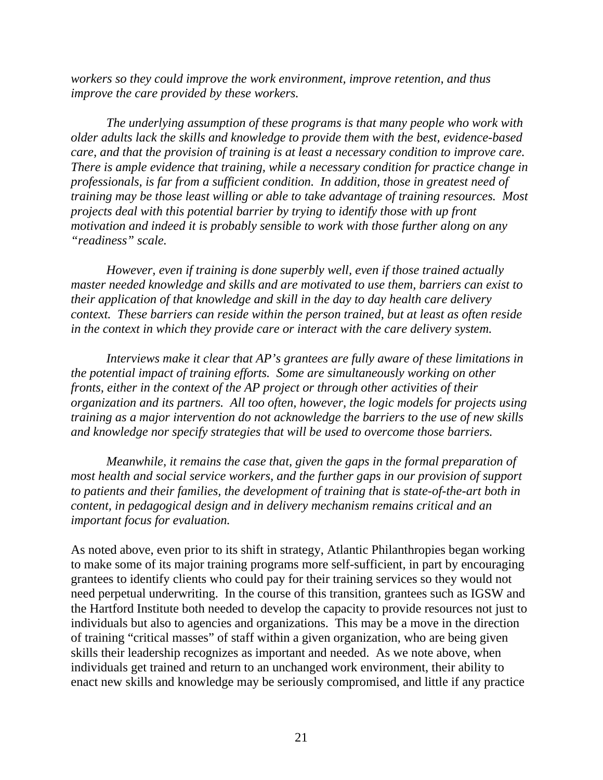*workers so they could improve the work environment, improve retention, and thus improve the care provided by these workers.* 

*The underlying assumption of these programs is that many people who work with older adults lack the skills and knowledge to provide them with the best, evidence-based care, and that the provision of training is at least a necessary condition to improve care. There is ample evidence that training, while a necessary condition for practice change in professionals, is far from a sufficient condition. In addition, those in greatest need of training may be those least willing or able to take advantage of training resources. Most projects deal with this potential barrier by trying to identify those with up front motivation and indeed it is probably sensible to work with those further along on any "readiness" scale.* 

*However, even if training is done superbly well, even if those trained actually master needed knowledge and skills and are motivated to use them, barriers can exist to their application of that knowledge and skill in the day to day health care delivery context. These barriers can reside within the person trained, but at least as often reside in the context in which they provide care or interact with the care delivery system.* 

*Interviews make it clear that AP's grantees are fully aware of these limitations in the potential impact of training efforts. Some are simultaneously working on other fronts, either in the context of the AP project or through other activities of their organization and its partners. All too often, however, the logic models for projects using training as a major intervention do not acknowledge the barriers to the use of new skills and knowledge nor specify strategies that will be used to overcome those barriers.* 

*Meanwhile, it remains the case that, given the gaps in the formal preparation of most health and social service workers, and the further gaps in our provision of support to patients and their families, the development of training that is state-of-the-art both in content, in pedagogical design and in delivery mechanism remains critical and an important focus for evaluation.* 

As noted above, even prior to its shift in strategy, Atlantic Philanthropies began working to make some of its major training programs more self-sufficient, in part by encouraging grantees to identify clients who could pay for their training services so they would not need perpetual underwriting. In the course of this transition, grantees such as IGSW and the Hartford Institute both needed to develop the capacity to provide resources not just to individuals but also to agencies and organizations. This may be a move in the direction of training "critical masses" of staff within a given organization, who are being given skills their leadership recognizes as important and needed. As we note above, when individuals get trained and return to an unchanged work environment, their ability to enact new skills and knowledge may be seriously compromised, and little if any practice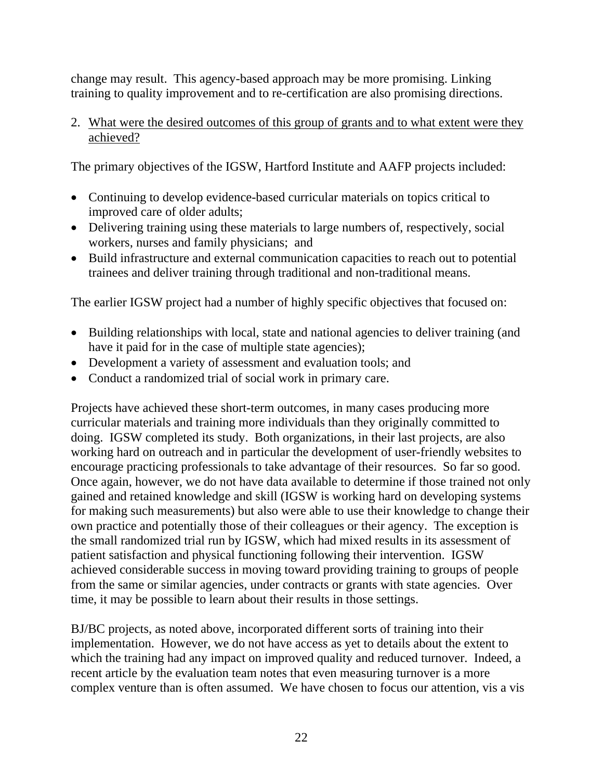change may result. This agency-based approach may be more promising. Linking training to quality improvement and to re-certification are also promising directions.

2. What were the desired outcomes of this group of grants and to what extent were they achieved?

The primary objectives of the IGSW, Hartford Institute and AAFP projects included:

- Continuing to develop evidence-based curricular materials on topics critical to improved care of older adults;
- Delivering training using these materials to large numbers of, respectively, social workers, nurses and family physicians; and
- Build infrastructure and external communication capacities to reach out to potential trainees and deliver training through traditional and non-traditional means.

The earlier IGSW project had a number of highly specific objectives that focused on:

- Building relationships with local, state and national agencies to deliver training (and have it paid for in the case of multiple state agencies);
- Development a variety of assessment and evaluation tools; and
- Conduct a randomized trial of social work in primary care.

Projects have achieved these short-term outcomes, in many cases producing more curricular materials and training more individuals than they originally committed to doing. IGSW completed its study. Both organizations, in their last projects, are also working hard on outreach and in particular the development of user-friendly websites to encourage practicing professionals to take advantage of their resources. So far so good. Once again, however, we do not have data available to determine if those trained not only gained and retained knowledge and skill (IGSW is working hard on developing systems for making such measurements) but also were able to use their knowledge to change their own practice and potentially those of their colleagues or their agency. The exception is the small randomized trial run by IGSW, which had mixed results in its assessment of patient satisfaction and physical functioning following their intervention. IGSW achieved considerable success in moving toward providing training to groups of people from the same or similar agencies, under contracts or grants with state agencies. Over time, it may be possible to learn about their results in those settings.

BJ/BC projects, as noted above, incorporated different sorts of training into their implementation. However, we do not have access as yet to details about the extent to which the training had any impact on improved quality and reduced turnover. Indeed, a recent article by the evaluation team notes that even measuring turnover is a more complex venture than is often assumed. We have chosen to focus our attention, vis a vis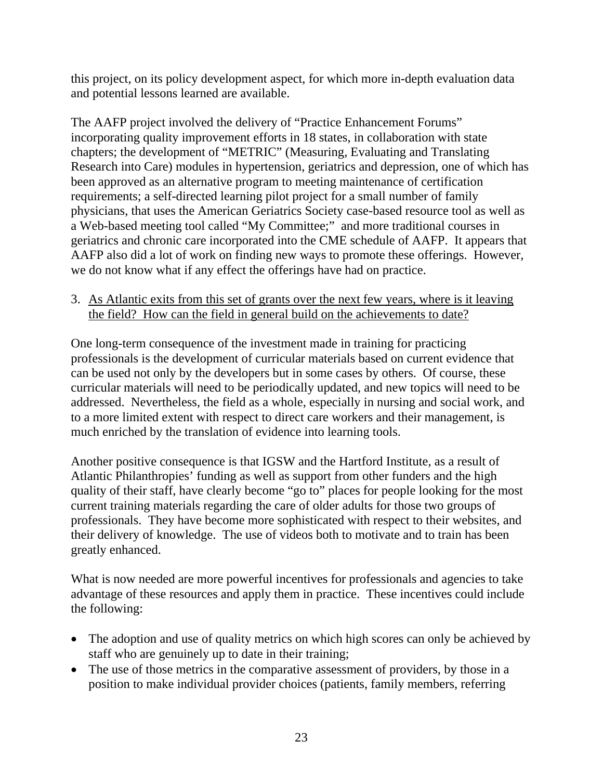this project, on its policy development aspect, for which more in-depth evaluation data and potential lessons learned are available.

The AAFP project involved the delivery of "Practice Enhancement Forums" incorporating quality improvement efforts in 18 states, in collaboration with state chapters; the development of "METRIC" (Measuring, Evaluating and Translating Research into Care) modules in hypertension, geriatrics and depression, one of which has been approved as an alternative program to meeting maintenance of certification requirements; a self-directed learning pilot project for a small number of family physicians, that uses the American Geriatrics Society case-based resource tool as well as a Web-based meeting tool called "My Committee;" and more traditional courses in geriatrics and chronic care incorporated into the CME schedule of AAFP. It appears that AAFP also did a lot of work on finding new ways to promote these offerings. However, we do not know what if any effect the offerings have had on practice.

3. As Atlantic exits from this set of grants over the next few years, where is it leaving the field? How can the field in general build on the achievements to date?

One long-term consequence of the investment made in training for practicing professionals is the development of curricular materials based on current evidence that can be used not only by the developers but in some cases by others. Of course, these curricular materials will need to be periodically updated, and new topics will need to be addressed. Nevertheless, the field as a whole, especially in nursing and social work, and to a more limited extent with respect to direct care workers and their management, is much enriched by the translation of evidence into learning tools.

Another positive consequence is that IGSW and the Hartford Institute, as a result of Atlantic Philanthropies' funding as well as support from other funders and the high quality of their staff, have clearly become "go to" places for people looking for the most current training materials regarding the care of older adults for those two groups of professionals. They have become more sophisticated with respect to their websites, and their delivery of knowledge. The use of videos both to motivate and to train has been greatly enhanced.

What is now needed are more powerful incentives for professionals and agencies to take advantage of these resources and apply them in practice. These incentives could include the following:

- The adoption and use of quality metrics on which high scores can only be achieved by staff who are genuinely up to date in their training;
- The use of those metrics in the comparative assessment of providers, by those in a position to make individual provider choices (patients, family members, referring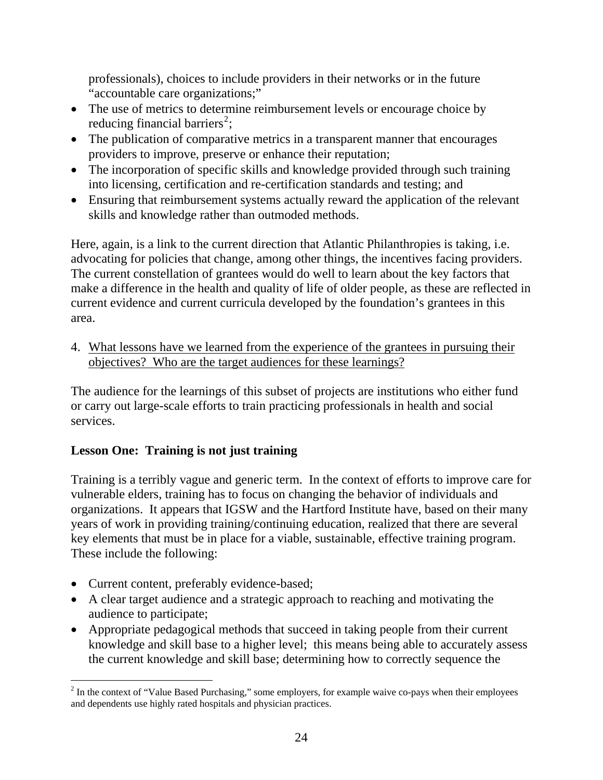<span id="page-23-0"></span>professionals), choices to include providers in their networks or in the future "accountable care organizations;"

- The use of metrics to determine reimbursement levels or encourage choice by reducing financial barriers<sup>[2](#page-23-0)</sup>;
- The publication of comparative metrics in a transparent manner that encourages providers to improve, preserve or enhance their reputation;
- The incorporation of specific skills and knowledge provided through such training into licensing, certification and re-certification standards and testing; and
- Ensuring that reimbursement systems actually reward the application of the relevant skills and knowledge rather than outmoded methods.

Here, again, is a link to the current direction that Atlantic Philanthropies is taking, i.e. advocating for policies that change, among other things, the incentives facing providers. The current constellation of grantees would do well to learn about the key factors that make a difference in the health and quality of life of older people, as these are reflected in current evidence and current curricula developed by the foundation's grantees in this area.

4. What lessons have we learned from the experience of the grantees in pursuing their objectives? Who are the target audiences for these learnings?

The audience for the learnings of this subset of projects are institutions who either fund or carry out large-scale efforts to train practicing professionals in health and social services.

## **Lesson One: Training is not just training**

Training is a terribly vague and generic term. In the context of efforts to improve care for vulnerable elders, training has to focus on changing the behavior of individuals and organizations. It appears that IGSW and the Hartford Institute have, based on their many years of work in providing training/continuing education, realized that there are several key elements that must be in place for a viable, sustainable, effective training program. These include the following:

• Current content, preferably evidence-based;

 $\overline{a}$ 

- A clear target audience and a strategic approach to reaching and motivating the audience to participate;
- Appropriate pedagogical methods that succeed in taking people from their current knowledge and skill base to a higher level; this means being able to accurately assess the current knowledge and skill base; determining how to correctly sequence the

 $2<sup>2</sup>$  In the context of "Value Based Purchasing," some employers, for example waive co-pays when their employees and dependents use highly rated hospitals and physician practices.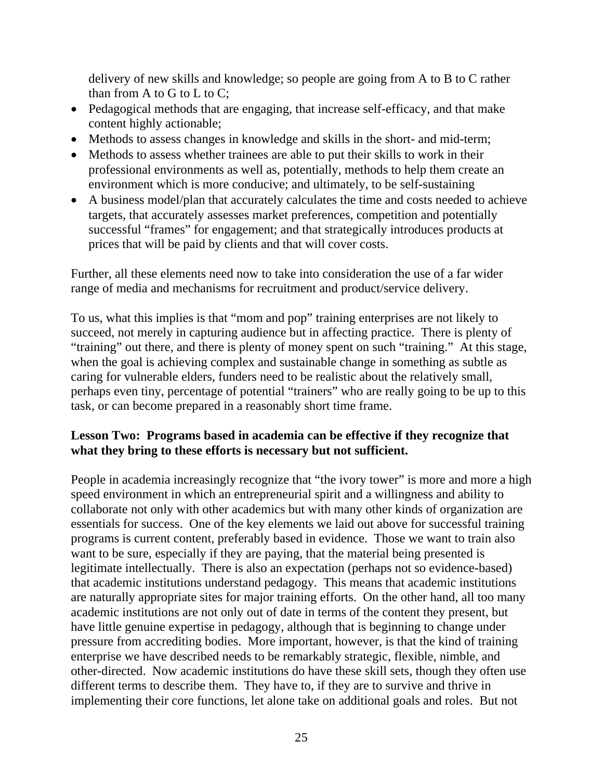delivery of new skills and knowledge; so people are going from A to B to C rather than from A to G to L to C;

- Pedagogical methods that are engaging, that increase self-efficacy, and that make content highly actionable;
- Methods to assess changes in knowledge and skills in the short- and mid-term;
- Methods to assess whether trainees are able to put their skills to work in their professional environments as well as, potentially, methods to help them create an environment which is more conducive; and ultimately, to be self-sustaining
- A business model/plan that accurately calculates the time and costs needed to achieve targets, that accurately assesses market preferences, competition and potentially successful "frames" for engagement; and that strategically introduces products at prices that will be paid by clients and that will cover costs.

Further, all these elements need now to take into consideration the use of a far wider range of media and mechanisms for recruitment and product/service delivery.

To us, what this implies is that "mom and pop" training enterprises are not likely to succeed, not merely in capturing audience but in affecting practice. There is plenty of "training" out there, and there is plenty of money spent on such "training." At this stage, when the goal is achieving complex and sustainable change in something as subtle as caring for vulnerable elders, funders need to be realistic about the relatively small, perhaps even tiny, percentage of potential "trainers" who are really going to be up to this task, or can become prepared in a reasonably short time frame.

#### **Lesson Two: Programs based in academia can be effective if they recognize that what they bring to these efforts is necessary but not sufficient.**

People in academia increasingly recognize that "the ivory tower" is more and more a high speed environment in which an entrepreneurial spirit and a willingness and ability to collaborate not only with other academics but with many other kinds of organization are essentials for success. One of the key elements we laid out above for successful training programs is current content, preferably based in evidence. Those we want to train also want to be sure, especially if they are paying, that the material being presented is legitimate intellectually. There is also an expectation (perhaps not so evidence-based) that academic institutions understand pedagogy. This means that academic institutions are naturally appropriate sites for major training efforts. On the other hand, all too many academic institutions are not only out of date in terms of the content they present, but have little genuine expertise in pedagogy, although that is beginning to change under pressure from accrediting bodies. More important, however, is that the kind of training enterprise we have described needs to be remarkably strategic, flexible, nimble, and other-directed. Now academic institutions do have these skill sets, though they often use different terms to describe them. They have to, if they are to survive and thrive in implementing their core functions, let alone take on additional goals and roles. But not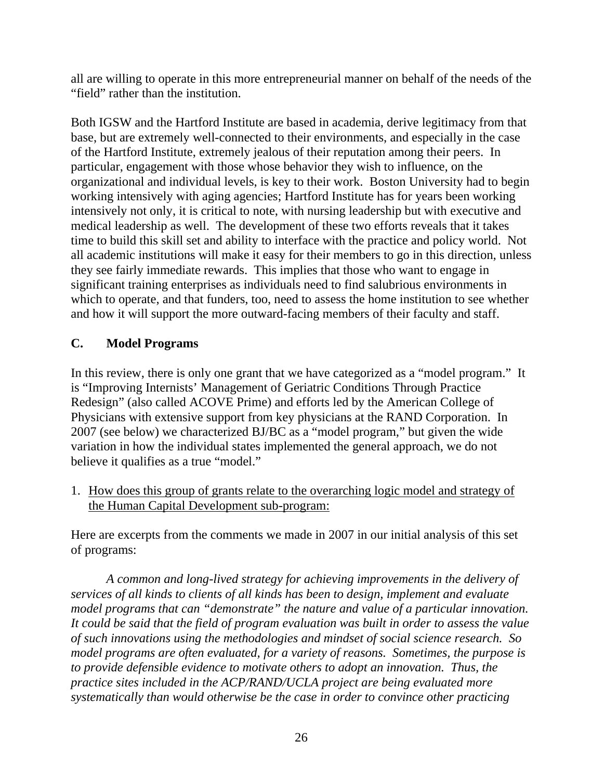all are willing to operate in this more entrepreneurial manner on behalf of the needs of the "field" rather than the institution.

Both IGSW and the Hartford Institute are based in academia, derive legitimacy from that base, but are extremely well-connected to their environments, and especially in the case of the Hartford Institute, extremely jealous of their reputation among their peers. In particular, engagement with those whose behavior they wish to influence, on the organizational and individual levels, is key to their work. Boston University had to begin working intensively with aging agencies; Hartford Institute has for years been working intensively not only, it is critical to note, with nursing leadership but with executive and medical leadership as well. The development of these two efforts reveals that it takes time to build this skill set and ability to interface with the practice and policy world. Not all academic institutions will make it easy for their members to go in this direction, unless they see fairly immediate rewards. This implies that those who want to engage in significant training enterprises as individuals need to find salubrious environments in which to operate, and that funders, too, need to assess the home institution to see whether and how it will support the more outward-facing members of their faculty and staff.

# **C. Model Programs**

In this review, there is only one grant that we have categorized as a "model program." It is "Improving Internists' Management of Geriatric Conditions Through Practice Redesign" (also called ACOVE Prime) and efforts led by the American College of Physicians with extensive support from key physicians at the RAND Corporation. In 2007 (see below) we characterized BJ/BC as a "model program," but given the wide variation in how the individual states implemented the general approach, we do not believe it qualifies as a true "model."

1. How does this group of grants relate to the overarching logic model and strategy of the Human Capital Development sub-program:

Here are excerpts from the comments we made in 2007 in our initial analysis of this set of programs:

*A common and long-lived strategy for achieving improvements in the delivery of services of all kinds to clients of all kinds has been to design, implement and evaluate model programs that can "demonstrate" the nature and value of a particular innovation. It could be said that the field of program evaluation was built in order to assess the value of such innovations using the methodologies and mindset of social science research. So model programs are often evaluated, for a variety of reasons. Sometimes, the purpose is to provide defensible evidence to motivate others to adopt an innovation. Thus, the practice sites included in the ACP/RAND/UCLA project are being evaluated more systematically than would otherwise be the case in order to convince other practicing*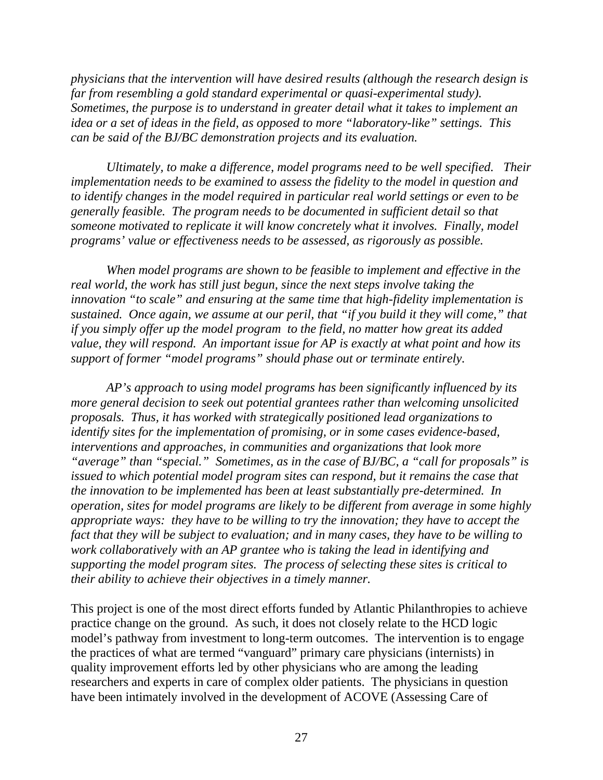*physicians that the intervention will have desired results (although the research design is far from resembling a gold standard experimental or quasi-experimental study). Sometimes, the purpose is to understand in greater detail what it takes to implement an idea or a set of ideas in the field, as opposed to more "laboratory-like" settings. This can be said of the BJ/BC demonstration projects and its evaluation.* 

*Ultimately, to make a difference, model programs need to be well specified. Their implementation needs to be examined to assess the fidelity to the model in question and to identify changes in the model required in particular real world settings or even to be generally feasible. The program needs to be documented in sufficient detail so that someone motivated to replicate it will know concretely what it involves. Finally, model programs' value or effectiveness needs to be assessed, as rigorously as possible.* 

*When model programs are shown to be feasible to implement and effective in the real world, the work has still just begun, since the next steps involve taking the innovation "to scale" and ensuring at the same time that high-fidelity implementation is sustained. Once again, we assume at our peril, that "if you build it they will come," that if you simply offer up the model program to the field, no matter how great its added value, they will respond. An important issue for AP is exactly at what point and how its support of former "model programs" should phase out or terminate entirely.* 

*AP's approach to using model programs has been significantly influenced by its more general decision to seek out potential grantees rather than welcoming unsolicited proposals. Thus, it has worked with strategically positioned lead organizations to identify sites for the implementation of promising, or in some cases evidence-based, interventions and approaches, in communities and organizations that look more "average" than "special." Sometimes, as in the case of BJ/BC, a "call for proposals" is issued to which potential model program sites can respond, but it remains the case that the innovation to be implemented has been at least substantially pre-determined. In operation, sites for model programs are likely to be different from average in some highly appropriate ways: they have to be willing to try the innovation; they have to accept the fact that they will be subject to evaluation; and in many cases, they have to be willing to work collaboratively with an AP grantee who is taking the lead in identifying and supporting the model program sites. The process of selecting these sites is critical to their ability to achieve their objectives in a timely manner.* 

This project is one of the most direct efforts funded by Atlantic Philanthropies to achieve practice change on the ground. As such, it does not closely relate to the HCD logic model's pathway from investment to long-term outcomes. The intervention is to engage the practices of what are termed "vanguard" primary care physicians (internists) in quality improvement efforts led by other physicians who are among the leading researchers and experts in care of complex older patients. The physicians in question have been intimately involved in the development of ACOVE (Assessing Care of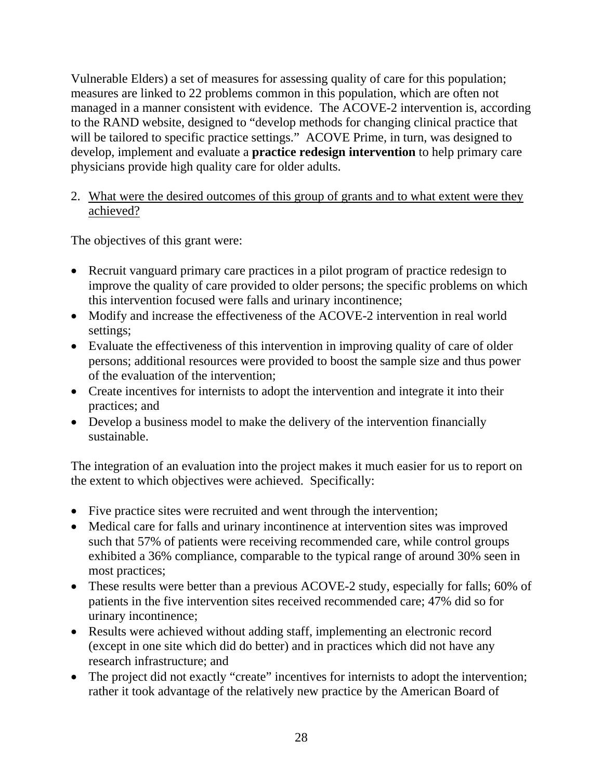Vulnerable Elders) a set of measures for assessing quality of care for this population; measures are linked to 22 problems common in this population, which are often not managed in a manner consistent with evidence. The ACOVE-2 intervention is, according to the RAND website, designed to "develop methods for changing clinical practice that will be tailored to specific practice settings." ACOVE Prime, in turn, was designed to develop, implement and evaluate a **practice redesign intervention** to help primary care physicians provide high quality care for older adults.

#### 2. What were the desired outcomes of this group of grants and to what extent were they achieved?

The objectives of this grant were:

- Recruit vanguard primary care practices in a pilot program of practice redesign to improve the quality of care provided to older persons; the specific problems on which this intervention focused were falls and urinary incontinence;
- Modify and increase the effectiveness of the ACOVE-2 intervention in real world settings;
- Evaluate the effectiveness of this intervention in improving quality of care of older persons; additional resources were provided to boost the sample size and thus power of the evaluation of the intervention;
- Create incentives for internists to adopt the intervention and integrate it into their practices; and
- Develop a business model to make the delivery of the intervention financially sustainable.

The integration of an evaluation into the project makes it much easier for us to report on the extent to which objectives were achieved. Specifically:

- Five practice sites were recruited and went through the intervention;
- Medical care for falls and urinary incontinence at intervention sites was improved such that 57% of patients were receiving recommended care, while control groups exhibited a 36% compliance, comparable to the typical range of around 30% seen in most practices;
- These results were better than a previous ACOVE-2 study, especially for falls; 60% of patients in the five intervention sites received recommended care; 47% did so for urinary incontinence;
- Results were achieved without adding staff, implementing an electronic record (except in one site which did do better) and in practices which did not have any research infrastructure; and
- The project did not exactly "create" incentives for internists to adopt the intervention; rather it took advantage of the relatively new practice by the American Board of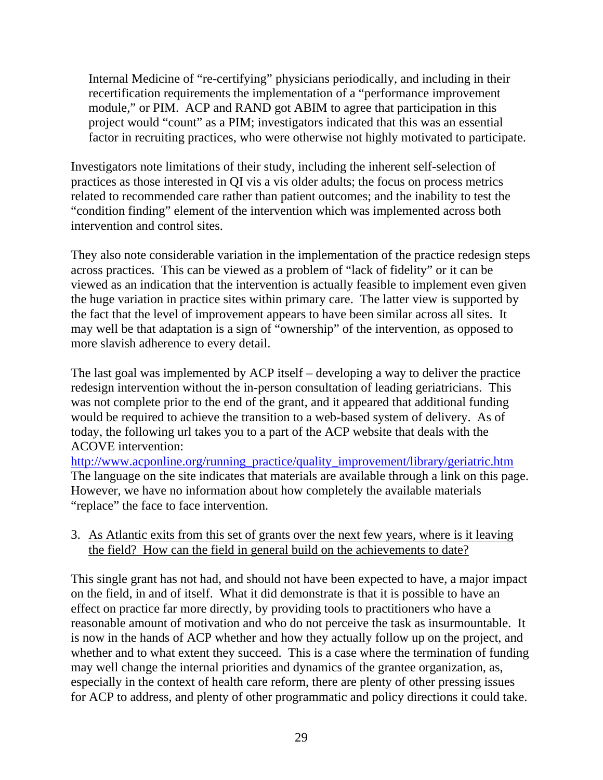Internal Medicine of "re-certifying" physicians periodically, and including in their recertification requirements the implementation of a "performance improvement module," or PIM. ACP and RAND got ABIM to agree that participation in this project would "count" as a PIM; investigators indicated that this was an essential factor in recruiting practices, who were otherwise not highly motivated to participate.

Investigators note limitations of their study, including the inherent self-selection of practices as those interested in QI vis a vis older adults; the focus on process metrics related to recommended care rather than patient outcomes; and the inability to test the "condition finding" element of the intervention which was implemented across both intervention and control sites.

They also note considerable variation in the implementation of the practice redesign steps across practices. This can be viewed as a problem of "lack of fidelity" or it can be viewed as an indication that the intervention is actually feasible to implement even given the huge variation in practice sites within primary care. The latter view is supported by the fact that the level of improvement appears to have been similar across all sites. It may well be that adaptation is a sign of "ownership" of the intervention, as opposed to more slavish adherence to every detail.

The last goal was implemented by ACP itself – developing a way to deliver the practice redesign intervention without the in-person consultation of leading geriatricians. This was not complete prior to the end of the grant, and it appeared that additional funding would be required to achieve the transition to a web-based system of delivery. As of today, the following url takes you to a part of the ACP website that deals with the ACOVE intervention:

[http://www.acponline.org/running\\_practice/quality\\_improvement/library/geriatric.htm](http://www.acponline.org/running_practice/quality_improvement/library/geriatric.htm)  The language on the site indicates that materials are available through a link on this page. However, we have no information about how completely the available materials "replace" the face to face intervention.

### 3. As Atlantic exits from this set of grants over the next few years, where is it leaving the field? How can the field in general build on the achievements to date?

This single grant has not had, and should not have been expected to have, a major impact on the field, in and of itself. What it did demonstrate is that it is possible to have an effect on practice far more directly, by providing tools to practitioners who have a reasonable amount of motivation and who do not perceive the task as insurmountable. It is now in the hands of ACP whether and how they actually follow up on the project, and whether and to what extent they succeed. This is a case where the termination of funding may well change the internal priorities and dynamics of the grantee organization, as, especially in the context of health care reform, there are plenty of other pressing issues for ACP to address, and plenty of other programmatic and policy directions it could take.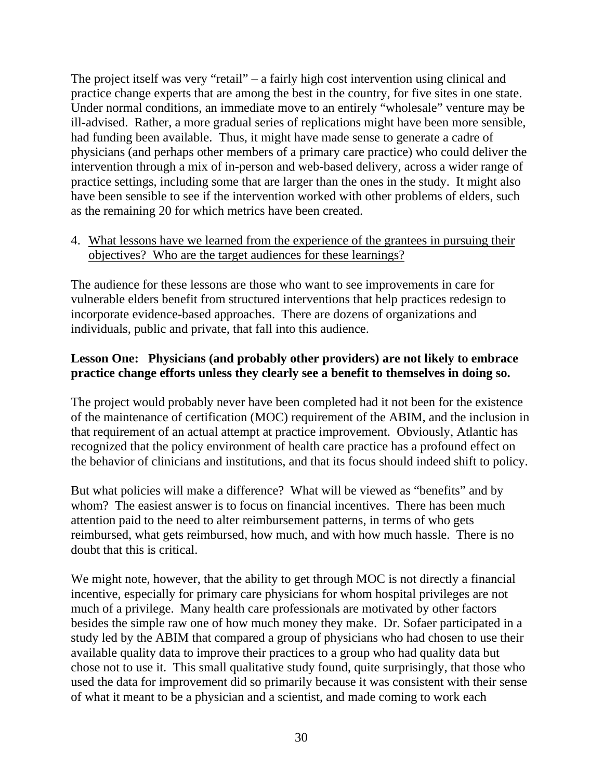The project itself was very "retail" – a fairly high cost intervention using clinical and practice change experts that are among the best in the country, for five sites in one state. Under normal conditions, an immediate move to an entirely "wholesale" venture may be ill-advised. Rather, a more gradual series of replications might have been more sensible, had funding been available. Thus, it might have made sense to generate a cadre of physicians (and perhaps other members of a primary care practice) who could deliver the intervention through a mix of in-person and web-based delivery, across a wider range of practice settings, including some that are larger than the ones in the study. It might also have been sensible to see if the intervention worked with other problems of elders, such as the remaining 20 for which metrics have been created.

#### 4. What lessons have we learned from the experience of the grantees in pursuing their objectives? Who are the target audiences for these learnings?

The audience for these lessons are those who want to see improvements in care for vulnerable elders benefit from structured interventions that help practices redesign to incorporate evidence-based approaches. There are dozens of organizations and individuals, public and private, that fall into this audience.

## **Lesson One: Physicians (and probably other providers) are not likely to embrace practice change efforts unless they clearly see a benefit to themselves in doing so.**

The project would probably never have been completed had it not been for the existence of the maintenance of certification (MOC) requirement of the ABIM, and the inclusion in that requirement of an actual attempt at practice improvement. Obviously, Atlantic has recognized that the policy environment of health care practice has a profound effect on the behavior of clinicians and institutions, and that its focus should indeed shift to policy.

But what policies will make a difference? What will be viewed as "benefits" and by whom? The easiest answer is to focus on financial incentives. There has been much attention paid to the need to alter reimbursement patterns, in terms of who gets reimbursed, what gets reimbursed, how much, and with how much hassle. There is no doubt that this is critical.

We might note, however, that the ability to get through MOC is not directly a financial incentive, especially for primary care physicians for whom hospital privileges are not much of a privilege. Many health care professionals are motivated by other factors besides the simple raw one of how much money they make. Dr. Sofaer participated in a study led by the ABIM that compared a group of physicians who had chosen to use their available quality data to improve their practices to a group who had quality data but chose not to use it. This small qualitative study found, quite surprisingly, that those who used the data for improvement did so primarily because it was consistent with their sense of what it meant to be a physician and a scientist, and made coming to work each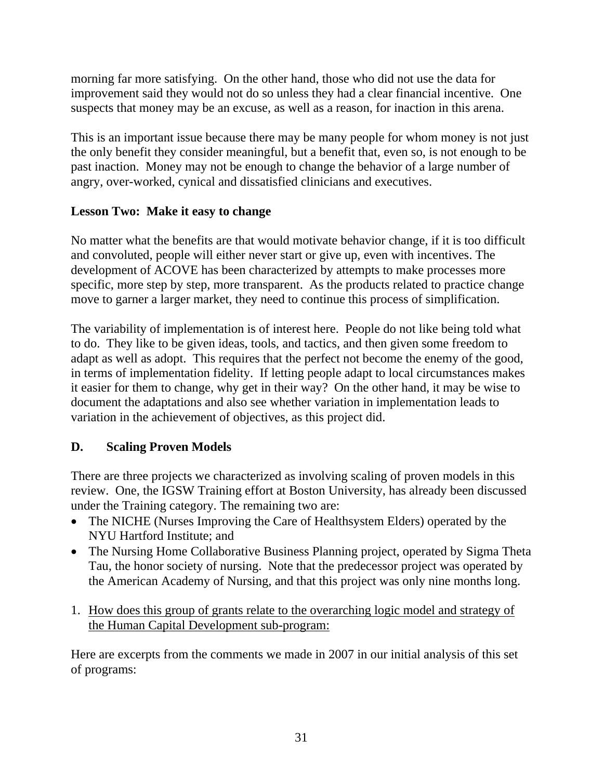morning far more satisfying. On the other hand, those who did not use the data for improvement said they would not do so unless they had a clear financial incentive. One suspects that money may be an excuse, as well as a reason, for inaction in this arena.

This is an important issue because there may be many people for whom money is not just the only benefit they consider meaningful, but a benefit that, even so, is not enough to be past inaction. Money may not be enough to change the behavior of a large number of angry, over-worked, cynical and dissatisfied clinicians and executives.

## **Lesson Two: Make it easy to change**

No matter what the benefits are that would motivate behavior change, if it is too difficult and convoluted, people will either never start or give up, even with incentives. The development of ACOVE has been characterized by attempts to make processes more specific, more step by step, more transparent. As the products related to practice change move to garner a larger market, they need to continue this process of simplification.

The variability of implementation is of interest here. People do not like being told what to do. They like to be given ideas, tools, and tactics, and then given some freedom to adapt as well as adopt. This requires that the perfect not become the enemy of the good, in terms of implementation fidelity. If letting people adapt to local circumstances makes it easier for them to change, why get in their way? On the other hand, it may be wise to document the adaptations and also see whether variation in implementation leads to variation in the achievement of objectives, as this project did.

## **D. Scaling Proven Models**

There are three projects we characterized as involving scaling of proven models in this review. One, the IGSW Training effort at Boston University, has already been discussed under the Training category. The remaining two are:

- The NICHE (Nurses Improving the Care of Healthsystem Elders) operated by the NYU Hartford Institute; and
- The Nursing Home Collaborative Business Planning project, operated by Sigma Theta Tau, the honor society of nursing. Note that the predecessor project was operated by the American Academy of Nursing, and that this project was only nine months long.
- 1. How does this group of grants relate to the overarching logic model and strategy of the Human Capital Development sub-program:

Here are excerpts from the comments we made in 2007 in our initial analysis of this set of programs: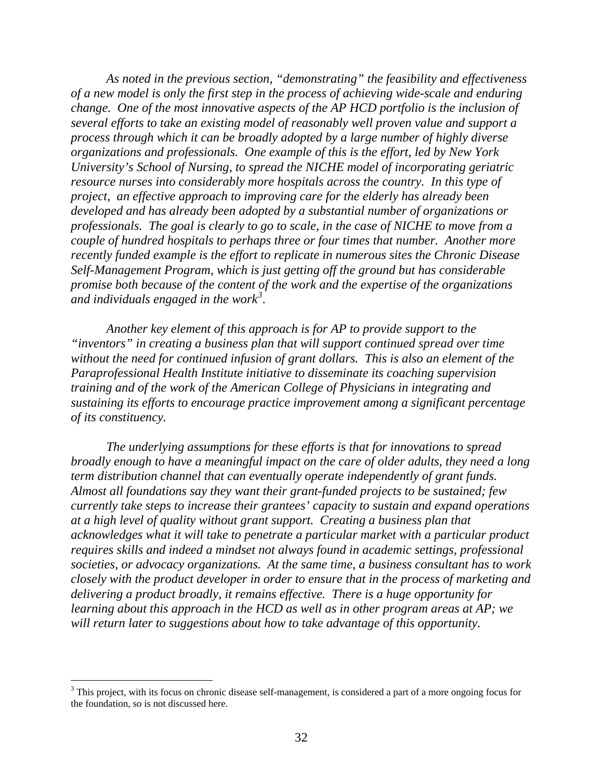<span id="page-31-0"></span>*As noted in the previous section, "demonstrating" the feasibility and effectiveness of a new model is only the first step in the process of achieving wide-scale and enduring change. One of the most innovative aspects of the AP HCD portfolio is the inclusion of several efforts to take an existing model of reasonably well proven value and support a process through which it can be broadly adopted by a large number of highly diverse organizations and professionals. One example of this is the effort, led by New York University's School of Nursing, to spread the NICHE model of incorporating geriatric resource nurses into considerably more hospitals across the country. In this type of project, an effective approach to improving care for the elderly has already been developed and has already been adopted by a substantial number of organizations or professionals. The goal is clearly to go to scale, in the case of NICHE to move from a couple of hundred hospitals to perhaps three or four times that number. Another more recently funded example is the effort to replicate in numerous sites the Chronic Disease Self-Management Program, which is just getting off the ground but has considerable promise both because of the content of the work and the expertise of the organizations and individuals engaged in the work[3](#page-31-0) .* 

*Another key element of this approach is for AP to provide support to the "inventors" in creating a business plan that will support continued spread over time without the need for continued infusion of grant dollars. This is also an element of the Paraprofessional Health Institute initiative to disseminate its coaching supervision training and of the work of the American College of Physicians in integrating and sustaining its efforts to encourage practice improvement among a significant percentage of its constituency.* 

*The underlying assumptions for these efforts is that for innovations to spread broadly enough to have a meaningful impact on the care of older adults, they need a long term distribution channel that can eventually operate independently of grant funds. Almost all foundations say they want their grant-funded projects to be sustained; few currently take steps to increase their grantees' capacity to sustain and expand operations at a high level of quality without grant support. Creating a business plan that acknowledges what it will take to penetrate a particular market with a particular product requires skills and indeed a mindset not always found in academic settings, professional societies, or advocacy organizations. At the same time, a business consultant has to work closely with the product developer in order to ensure that in the process of marketing and delivering a product broadly, it remains effective. There is a huge opportunity for learning about this approach in the HCD as well as in other program areas at AP; we will return later to suggestions about how to take advantage of this opportunity.* 

<sup>&</sup>lt;sup>3</sup> This project, with its focus on chronic disease self-management, is considered a part of a more ongoing focus for the foundation, so is not discussed here.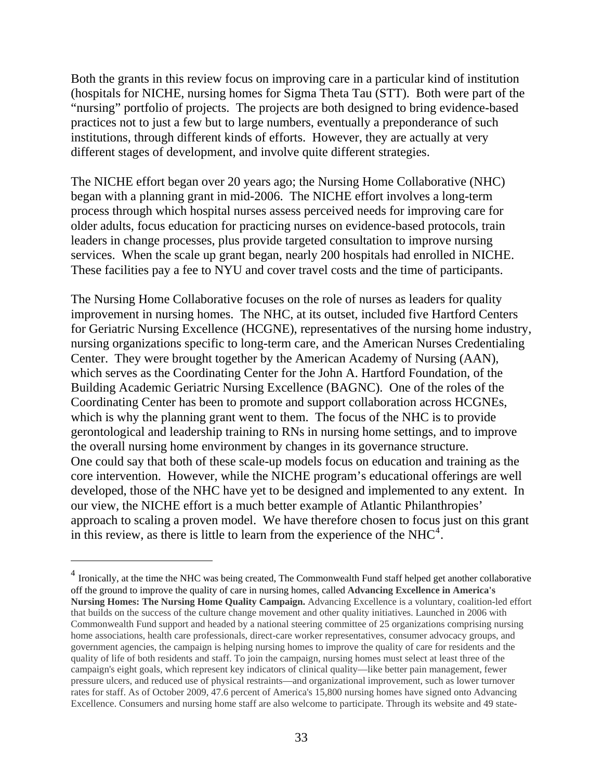<span id="page-32-0"></span>Both the grants in this review focus on improving care in a particular kind of institution (hospitals for NICHE, nursing homes for Sigma Theta Tau (STT). Both were part of the "nursing" portfolio of projects. The projects are both designed to bring evidence-based practices not to just a few but to large numbers, eventually a preponderance of such institutions, through different kinds of efforts. However, they are actually at very different stages of development, and involve quite different strategies.

The NICHE effort began over 20 years ago; the Nursing Home Collaborative (NHC) began with a planning grant in mid-2006. The NICHE effort involves a long-term process through which hospital nurses assess perceived needs for improving care for older adults, focus education for practicing nurses on evidence-based protocols, train leaders in change processes, plus provide targeted consultation to improve nursing services. When the scale up grant began, nearly 200 hospitals had enrolled in NICHE. These facilities pay a fee to NYU and cover travel costs and the time of participants.

The Nursing Home Collaborative focuses on the role of nurses as leaders for quality improvement in nursing homes. The NHC, at its outset, included five Hartford Centers for Geriatric Nursing Excellence (HCGNE), representatives of the nursing home industry, nursing organizations specific to long-term care, and the American Nurses Credentialing Center. They were brought together by the American Academy of Nursing (AAN), which serves as the Coordinating Center for the John A. Hartford Foundation, of the Building Academic Geriatric Nursing Excellence (BAGNC). One of the roles of the Coordinating Center has been to promote and support collaboration across HCGNEs, which is why the planning grant went to them. The focus of the NHC is to provide gerontological and leadership training to RNs in nursing home settings, and to improve the overall nursing home environment by changes in its governance structure. One could say that both of these scale-up models focus on education and training as the core intervention. However, while the NICHE program's educational offerings are well developed, those of the NHC have yet to be designed and implemented to any extent. In our view, the NICHE effort is a much better example of Atlantic Philanthropies' approach to scaling a proven model. We have therefore chosen to focus just on this grant in this review, as there is little to learn from the experience of the  $NHC<sup>4</sup>$  $NHC<sup>4</sup>$  $NHC<sup>4</sup>$ .

 $\overline{a}$ 

<sup>&</sup>lt;sup>4</sup> Ironically, at the time the NHC was being created, The Commonwealth Fund staff helped get another collaborative off the ground to improve the quality of care in nursing homes, called **Advancing Excellence in America's Nursing Homes: The Nursing Home Quality Campaign.** Advancing Excellence is a voluntary, coalition-led effort that builds on the success of the culture change movement and other quality initiatives. Launched in 2006 with Commonwealth Fund support and headed by a national steering committee of 25 organizations comprising nursing home associations, health care professionals, direct-care worker representatives, consumer advocacy groups, and government agencies, the campaign is helping nursing homes to improve the quality of care for residents and the quality of life of both residents and staff. To join the campaign, nursing homes must select at least three of the campaign's eight goals, which represent key indicators of clinical quality—like better pain management, fewer pressure ulcers, and reduced use of physical restraints—and organizational improvement, such as lower turnover rates for staff. As of October 2009, 47.6 percent of America's 15,800 nursing homes have signed onto Advancing Excellence. Consumers and nursing home staff are also welcome to participate. Through its website and 49 state-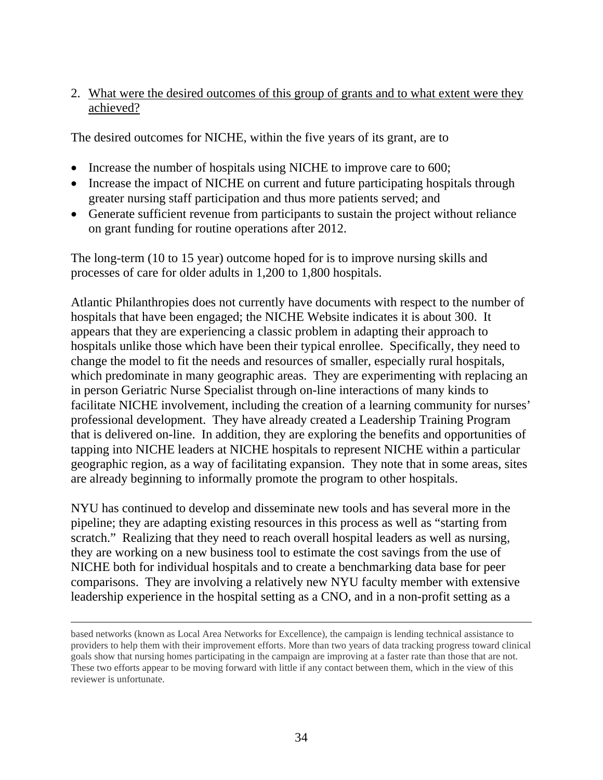#### 2. What were the desired outcomes of this group of grants and to what extent were they achieved?

The desired outcomes for NICHE, within the five years of its grant, are to

- Increase the number of hospitals using NICHE to improve care to 600;
- Increase the impact of NICHE on current and future participating hospitals through greater nursing staff participation and thus more patients served; and
- Generate sufficient revenue from participants to sustain the project without reliance on grant funding for routine operations after 2012.

The long-term (10 to 15 year) outcome hoped for is to improve nursing skills and processes of care for older adults in 1,200 to 1,800 hospitals.

Atlantic Philanthropies does not currently have documents with respect to the number of hospitals that have been engaged; the NICHE Website indicates it is about 300. It appears that they are experiencing a classic problem in adapting their approach to hospitals unlike those which have been their typical enrollee. Specifically, they need to change the model to fit the needs and resources of smaller, especially rural hospitals, which predominate in many geographic areas. They are experimenting with replacing an in person Geriatric Nurse Specialist through on-line interactions of many kinds to facilitate NICHE involvement, including the creation of a learning community for nurses' professional development. They have already created a Leadership Training Program that is delivered on-line. In addition, they are exploring the benefits and opportunities of tapping into NICHE leaders at NICHE hospitals to represent NICHE within a particular geographic region, as a way of facilitating expansion. They note that in some areas, sites are already beginning to informally promote the program to other hospitals.

NYU has continued to develop and disseminate new tools and has several more in the pipeline; they are adapting existing resources in this process as well as "starting from scratch." Realizing that they need to reach overall hospital leaders as well as nursing, they are working on a new business tool to estimate the cost savings from the use of NICHE both for individual hospitals and to create a benchmarking data base for peer comparisons. They are involving a relatively new NYU faculty member with extensive leadership experience in the hospital setting as a CNO, and in a non-profit setting as a

 $\overline{a}$ 

based networks (known as Local Area Networks for Excellence), the campaign is lending technical assistance to providers to help them with their improvement efforts. More than two years of data tracking progress toward clinical goals show that nursing homes participating in the campaign are improving at a faster rate than those that are not. These two efforts appear to be moving forward with little if any contact between them, which in the view of this reviewer is unfortunate.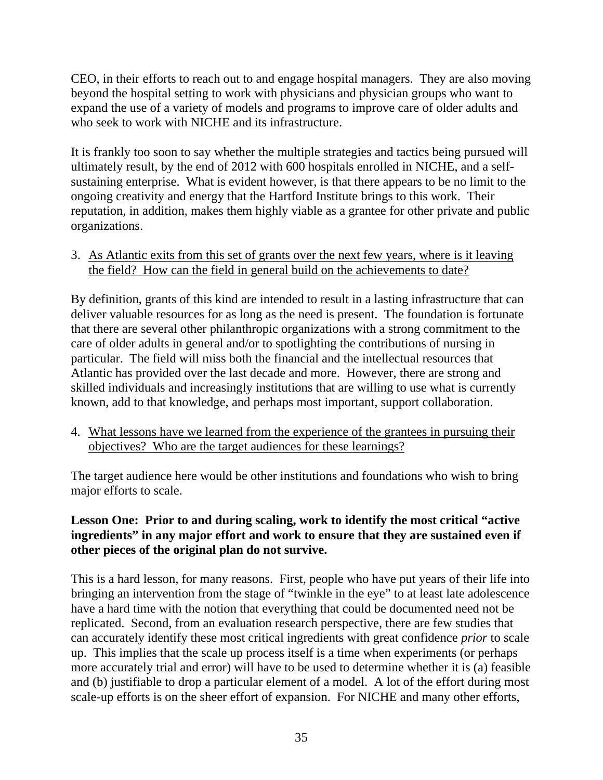CEO, in their efforts to reach out to and engage hospital managers. They are also moving beyond the hospital setting to work with physicians and physician groups who want to expand the use of a variety of models and programs to improve care of older adults and who seek to work with NICHE and its infrastructure.

It is frankly too soon to say whether the multiple strategies and tactics being pursued will ultimately result, by the end of 2012 with 600 hospitals enrolled in NICHE, and a selfsustaining enterprise. What is evident however, is that there appears to be no limit to the ongoing creativity and energy that the Hartford Institute brings to this work. Their reputation, in addition, makes them highly viable as a grantee for other private and public organizations.

3. As Atlantic exits from this set of grants over the next few years, where is it leaving the field? How can the field in general build on the achievements to date?

By definition, grants of this kind are intended to result in a lasting infrastructure that can deliver valuable resources for as long as the need is present. The foundation is fortunate that there are several other philanthropic organizations with a strong commitment to the care of older adults in general and/or to spotlighting the contributions of nursing in particular. The field will miss both the financial and the intellectual resources that Atlantic has provided over the last decade and more. However, there are strong and skilled individuals and increasingly institutions that are willing to use what is currently known, add to that knowledge, and perhaps most important, support collaboration.

4. What lessons have we learned from the experience of the grantees in pursuing their objectives? Who are the target audiences for these learnings?

The target audience here would be other institutions and foundations who wish to bring major efforts to scale.

### **Lesson One: Prior to and during scaling, work to identify the most critical "active ingredients" in any major effort and work to ensure that they are sustained even if other pieces of the original plan do not survive.**

This is a hard lesson, for many reasons. First, people who have put years of their life into bringing an intervention from the stage of "twinkle in the eye" to at least late adolescence have a hard time with the notion that everything that could be documented need not be replicated. Second, from an evaluation research perspective, there are few studies that can accurately identify these most critical ingredients with great confidence *prior* to scale up. This implies that the scale up process itself is a time when experiments (or perhaps more accurately trial and error) will have to be used to determine whether it is (a) feasible and (b) justifiable to drop a particular element of a model. A lot of the effort during most scale-up efforts is on the sheer effort of expansion. For NICHE and many other efforts,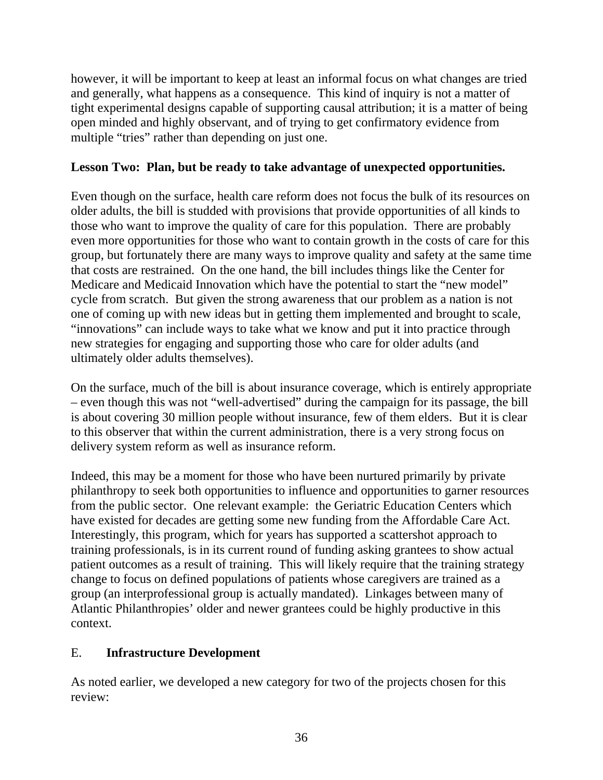however, it will be important to keep at least an informal focus on what changes are tried and generally, what happens as a consequence. This kind of inquiry is not a matter of tight experimental designs capable of supporting causal attribution; it is a matter of being open minded and highly observant, and of trying to get confirmatory evidence from multiple "tries" rather than depending on just one.

## **Lesson Two: Plan, but be ready to take advantage of unexpected opportunities.**

Even though on the surface, health care reform does not focus the bulk of its resources on older adults, the bill is studded with provisions that provide opportunities of all kinds to those who want to improve the quality of care for this population. There are probably even more opportunities for those who want to contain growth in the costs of care for this group, but fortunately there are many ways to improve quality and safety at the same time that costs are restrained. On the one hand, the bill includes things like the Center for Medicare and Medicaid Innovation which have the potential to start the "new model" cycle from scratch. But given the strong awareness that our problem as a nation is not one of coming up with new ideas but in getting them implemented and brought to scale, "innovations" can include ways to take what we know and put it into practice through new strategies for engaging and supporting those who care for older adults (and ultimately older adults themselves).

On the surface, much of the bill is about insurance coverage, which is entirely appropriate – even though this was not "well-advertised" during the campaign for its passage, the bill is about covering 30 million people without insurance, few of them elders. But it is clear to this observer that within the current administration, there is a very strong focus on delivery system reform as well as insurance reform.

Indeed, this may be a moment for those who have been nurtured primarily by private philanthropy to seek both opportunities to influence and opportunities to garner resources from the public sector. One relevant example: the Geriatric Education Centers which have existed for decades are getting some new funding from the Affordable Care Act. Interestingly, this program, which for years has supported a scattershot approach to training professionals, is in its current round of funding asking grantees to show actual patient outcomes as a result of training. This will likely require that the training strategy change to focus on defined populations of patients whose caregivers are trained as a group (an interprofessional group is actually mandated). Linkages between many of Atlantic Philanthropies' older and newer grantees could be highly productive in this context.

#### E. **Infrastructure Development**

As noted earlier, we developed a new category for two of the projects chosen for this review: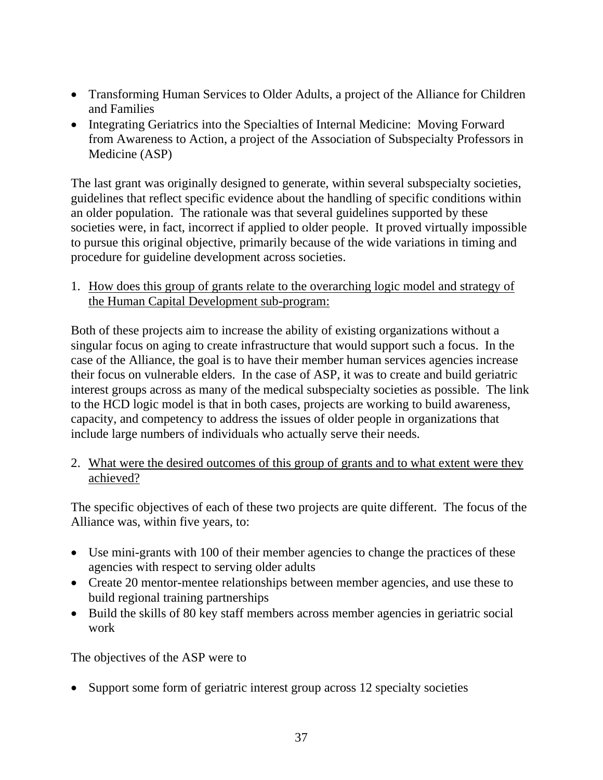- Transforming Human Services to Older Adults, a project of the Alliance for Children and Families
- Integrating Geriatrics into the Specialties of Internal Medicine: Moving Forward from Awareness to Action, a project of the Association of Subspecialty Professors in Medicine (ASP)

The last grant was originally designed to generate, within several subspecialty societies, guidelines that reflect specific evidence about the handling of specific conditions within an older population. The rationale was that several guidelines supported by these societies were, in fact, incorrect if applied to older people. It proved virtually impossible to pursue this original objective, primarily because of the wide variations in timing and procedure for guideline development across societies.

1. How does this group of grants relate to the overarching logic model and strategy of the Human Capital Development sub-program:

Both of these projects aim to increase the ability of existing organizations without a singular focus on aging to create infrastructure that would support such a focus. In the case of the Alliance, the goal is to have their member human services agencies increase their focus on vulnerable elders. In the case of ASP, it was to create and build geriatric interest groups across as many of the medical subspecialty societies as possible. The link to the HCD logic model is that in both cases, projects are working to build awareness, capacity, and competency to address the issues of older people in organizations that include large numbers of individuals who actually serve their needs.

2. What were the desired outcomes of this group of grants and to what extent were they achieved?

The specific objectives of each of these two projects are quite different. The focus of the Alliance was, within five years, to:

- Use mini-grants with 100 of their member agencies to change the practices of these agencies with respect to serving older adults
- Create 20 mentor-mentee relationships between member agencies, and use these to build regional training partnerships
- Build the skills of 80 key staff members across member agencies in geriatric social work

The objectives of the ASP were to

• Support some form of geriatric interest group across 12 specialty societies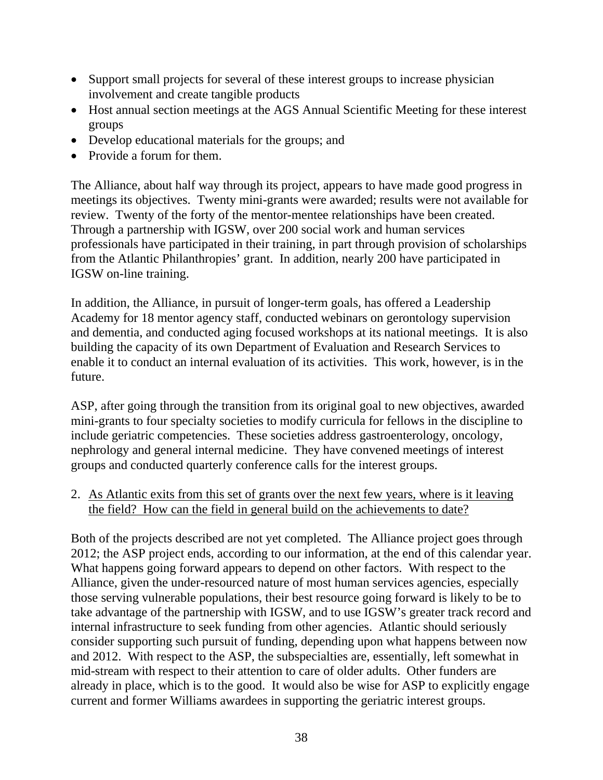- Support small projects for several of these interest groups to increase physician involvement and create tangible products
- Host annual section meetings at the AGS Annual Scientific Meeting for these interest groups
- Develop educational materials for the groups; and
- Provide a forum for them.

The Alliance, about half way through its project, appears to have made good progress in meetings its objectives. Twenty mini-grants were awarded; results were not available for review. Twenty of the forty of the mentor-mentee relationships have been created. Through a partnership with IGSW, over 200 social work and human services professionals have participated in their training, in part through provision of scholarships from the Atlantic Philanthropies' grant. In addition, nearly 200 have participated in IGSW on-line training.

In addition, the Alliance, in pursuit of longer-term goals, has offered a Leadership Academy for 18 mentor agency staff, conducted webinars on gerontology supervision and dementia, and conducted aging focused workshops at its national meetings. It is also building the capacity of its own Department of Evaluation and Research Services to enable it to conduct an internal evaluation of its activities. This work, however, is in the future.

ASP, after going through the transition from its original goal to new objectives, awarded mini-grants to four specialty societies to modify curricula for fellows in the discipline to include geriatric competencies. These societies address gastroenterology, oncology, nephrology and general internal medicine. They have convened meetings of interest groups and conducted quarterly conference calls for the interest groups.

2. As Atlantic exits from this set of grants over the next few years, where is it leaving the field? How can the field in general build on the achievements to date?

Both of the projects described are not yet completed. The Alliance project goes through 2012; the ASP project ends, according to our information, at the end of this calendar year. What happens going forward appears to depend on other factors. With respect to the Alliance, given the under-resourced nature of most human services agencies, especially those serving vulnerable populations, their best resource going forward is likely to be to take advantage of the partnership with IGSW, and to use IGSW's greater track record and internal infrastructure to seek funding from other agencies. Atlantic should seriously consider supporting such pursuit of funding, depending upon what happens between now and 2012. With respect to the ASP, the subspecialties are, essentially, left somewhat in mid-stream with respect to their attention to care of older adults. Other funders are already in place, which is to the good. It would also be wise for ASP to explicitly engage current and former Williams awardees in supporting the geriatric interest groups.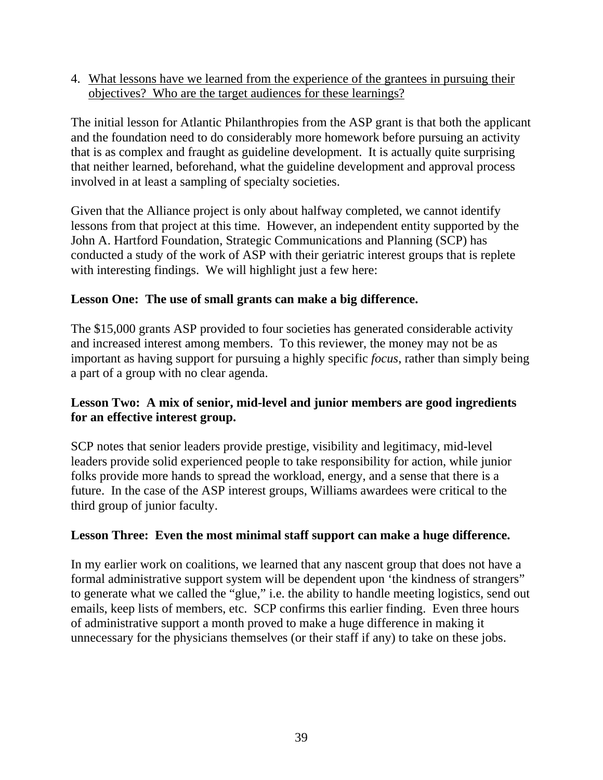4. What lessons have we learned from the experience of the grantees in pursuing their objectives? Who are the target audiences for these learnings?

The initial lesson for Atlantic Philanthropies from the ASP grant is that both the applicant and the foundation need to do considerably more homework before pursuing an activity that is as complex and fraught as guideline development. It is actually quite surprising that neither learned, beforehand, what the guideline development and approval process involved in at least a sampling of specialty societies.

Given that the Alliance project is only about halfway completed, we cannot identify lessons from that project at this time. However, an independent entity supported by the John A. Hartford Foundation, Strategic Communications and Planning (SCP) has conducted a study of the work of ASP with their geriatric interest groups that is replete with interesting findings. We will highlight just a few here:

## **Lesson One: The use of small grants can make a big difference.**

The \$15,000 grants ASP provided to four societies has generated considerable activity and increased interest among members. To this reviewer, the money may not be as important as having support for pursuing a highly specific *focus*, rather than simply being a part of a group with no clear agenda.

### **Lesson Two: A mix of senior, mid-level and junior members are good ingredients for an effective interest group.**

SCP notes that senior leaders provide prestige, visibility and legitimacy, mid-level leaders provide solid experienced people to take responsibility for action, while junior folks provide more hands to spread the workload, energy, and a sense that there is a future. In the case of the ASP interest groups, Williams awardees were critical to the third group of junior faculty.

## **Lesson Three: Even the most minimal staff support can make a huge difference.**

In my earlier work on coalitions, we learned that any nascent group that does not have a formal administrative support system will be dependent upon 'the kindness of strangers" to generate what we called the "glue," i.e. the ability to handle meeting logistics, send out emails, keep lists of members, etc. SCP confirms this earlier finding. Even three hours of administrative support a month proved to make a huge difference in making it unnecessary for the physicians themselves (or their staff if any) to take on these jobs.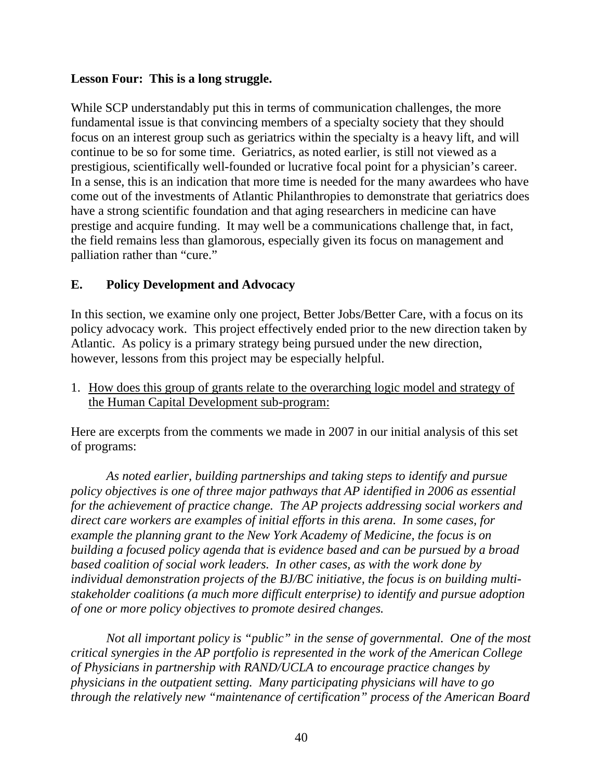#### **Lesson Four: This is a long struggle.**

While SCP understandably put this in terms of communication challenges, the more fundamental issue is that convincing members of a specialty society that they should focus on an interest group such as geriatrics within the specialty is a heavy lift, and will continue to be so for some time. Geriatrics, as noted earlier, is still not viewed as a prestigious, scientifically well-founded or lucrative focal point for a physician's career. In a sense, this is an indication that more time is needed for the many awardees who have come out of the investments of Atlantic Philanthropies to demonstrate that geriatrics does have a strong scientific foundation and that aging researchers in medicine can have prestige and acquire funding. It may well be a communications challenge that, in fact, the field remains less than glamorous, especially given its focus on management and palliation rather than "cure."

#### **E. Policy Development and Advocacy**

In this section, we examine only one project, Better Jobs/Better Care, with a focus on its policy advocacy work. This project effectively ended prior to the new direction taken by Atlantic. As policy is a primary strategy being pursued under the new direction, however, lessons from this project may be especially helpful.

1. How does this group of grants relate to the overarching logic model and strategy of the Human Capital Development sub-program:

Here are excerpts from the comments we made in 2007 in our initial analysis of this set of programs:

*As noted earlier, building partnerships and taking steps to identify and pursue policy objectives is one of three major pathways that AP identified in 2006 as essential for the achievement of practice change. The AP projects addressing social workers and direct care workers are examples of initial efforts in this arena. In some cases, for example the planning grant to the New York Academy of Medicine, the focus is on building a focused policy agenda that is evidence based and can be pursued by a broad based coalition of social work leaders. In other cases, as with the work done by individual demonstration projects of the BJ/BC initiative, the focus is on building multistakeholder coalitions (a much more difficult enterprise) to identify and pursue adoption of one or more policy objectives to promote desired changes.* 

*Not all important policy is "public" in the sense of governmental. One of the most critical synergies in the AP portfolio is represented in the work of the American College of Physicians in partnership with RAND/UCLA to encourage practice changes by physicians in the outpatient setting. Many participating physicians will have to go through the relatively new "maintenance of certification" process of the American Board*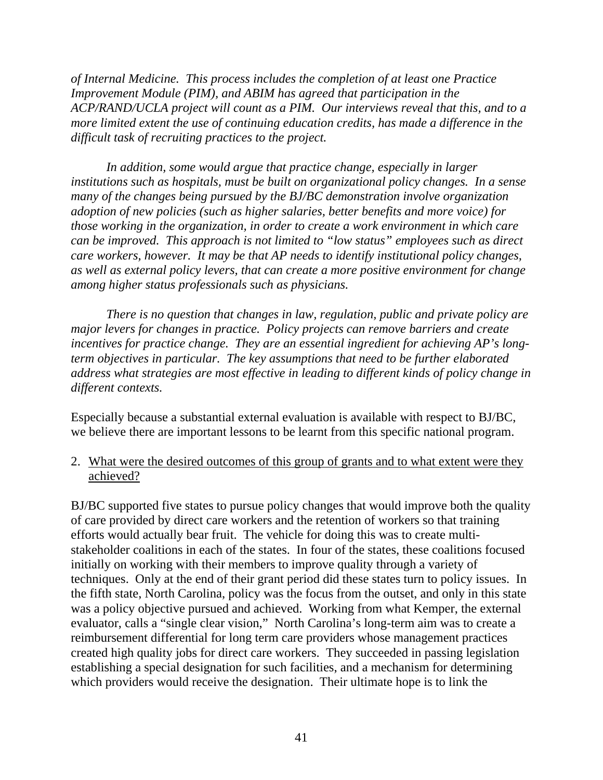*of Internal Medicine. This process includes the completion of at least one Practice Improvement Module (PIM), and ABIM has agreed that participation in the ACP/RAND/UCLA project will count as a PIM. Our interviews reveal that this, and to a more limited extent the use of continuing education credits, has made a difference in the difficult task of recruiting practices to the project.* 

*In addition, some would argue that practice change, especially in larger institutions such as hospitals, must be built on organizational policy changes. In a sense many of the changes being pursued by the BJ/BC demonstration involve organization adoption of new policies (such as higher salaries, better benefits and more voice) for those working in the organization, in order to create a work environment in which care can be improved. This approach is not limited to "low status" employees such as direct care workers, however. It may be that AP needs to identify institutional policy changes, as well as external policy levers, that can create a more positive environment for change among higher status professionals such as physicians.* 

*There is no question that changes in law, regulation, public and private policy are major levers for changes in practice. Policy projects can remove barriers and create incentives for practice change. They are an essential ingredient for achieving AP's longterm objectives in particular. The key assumptions that need to be further elaborated address what strategies are most effective in leading to different kinds of policy change in different contexts.* 

Especially because a substantial external evaluation is available with respect to BJ/BC, we believe there are important lessons to be learnt from this specific national program.

2. What were the desired outcomes of this group of grants and to what extent were they achieved?

BJ/BC supported five states to pursue policy changes that would improve both the quality of care provided by direct care workers and the retention of workers so that training efforts would actually bear fruit. The vehicle for doing this was to create multistakeholder coalitions in each of the states. In four of the states, these coalitions focused initially on working with their members to improve quality through a variety of techniques. Only at the end of their grant period did these states turn to policy issues. In the fifth state, North Carolina, policy was the focus from the outset, and only in this state was a policy objective pursued and achieved. Working from what Kemper, the external evaluator, calls a "single clear vision," North Carolina's long-term aim was to create a reimbursement differential for long term care providers whose management practices created high quality jobs for direct care workers. They succeeded in passing legislation establishing a special designation for such facilities, and a mechanism for determining which providers would receive the designation. Their ultimate hope is to link the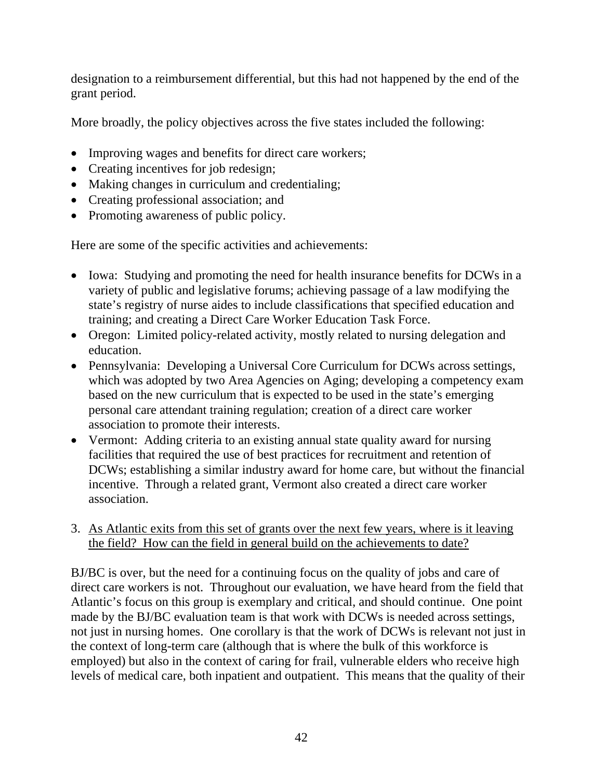designation to a reimbursement differential, but this had not happened by the end of the grant period.

More broadly, the policy objectives across the five states included the following:

- Improving wages and benefits for direct care workers;
- Creating incentives for job redesign;
- Making changes in curriculum and credentialing;
- Creating professional association; and
- Promoting awareness of public policy.

Here are some of the specific activities and achievements:

- Iowa: Studying and promoting the need for health insurance benefits for DCWs in a variety of public and legislative forums; achieving passage of a law modifying the state's registry of nurse aides to include classifications that specified education and training; and creating a Direct Care Worker Education Task Force.
- Oregon: Limited policy-related activity, mostly related to nursing delegation and education.
- Pennsylvania: Developing a Universal Core Curriculum for DCWs across settings, which was adopted by two Area Agencies on Aging; developing a competency exam based on the new curriculum that is expected to be used in the state's emerging personal care attendant training regulation; creation of a direct care worker association to promote their interests.
- Vermont: Adding criteria to an existing annual state quality award for nursing facilities that required the use of best practices for recruitment and retention of DCWs; establishing a similar industry award for home care, but without the financial incentive. Through a related grant, Vermont also created a direct care worker association.
- 3. As Atlantic exits from this set of grants over the next few years, where is it leaving the field? How can the field in general build on the achievements to date?

BJ/BC is over, but the need for a continuing focus on the quality of jobs and care of direct care workers is not. Throughout our evaluation, we have heard from the field that Atlantic's focus on this group is exemplary and critical, and should continue. One point made by the BJ/BC evaluation team is that work with DCWs is needed across settings, not just in nursing homes. One corollary is that the work of DCWs is relevant not just in the context of long-term care (although that is where the bulk of this workforce is employed) but also in the context of caring for frail, vulnerable elders who receive high levels of medical care, both inpatient and outpatient. This means that the quality of their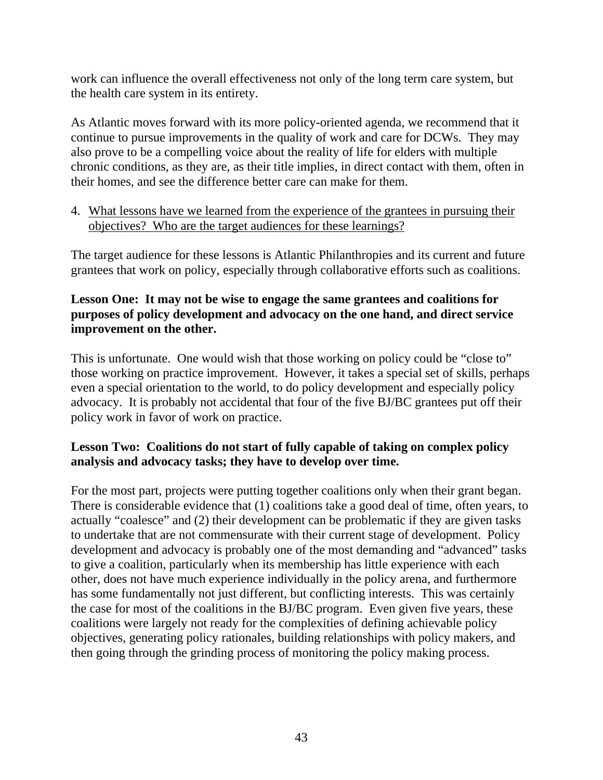work can influence the overall effectiveness not only of the long term care system, but the health care system in its entirety.

As Atlantic moves forward with its more policy-oriented agenda, we recommend that it continue to pursue improvements in the quality of work and care for DCWs. They may also prove to be a compelling voice about the reality of life for elders with multiple chronic conditions, as they are, as their title implies, in direct contact with them, often in their homes, and see the difference better care can make for them.

4. What lessons have we learned from the experience of the grantees in pursuing their objectives? Who are the target audiences for these learnings?

The target audience for these lessons is Atlantic Philanthropies and its current and future grantees that work on policy, especially through collaborative efforts such as coalitions.

### **Lesson One: It may not be wise to engage the same grantees and coalitions for purposes of policy development and advocacy on the one hand, and direct service improvement on the other.**

This is unfortunate. One would wish that those working on policy could be "close to" those working on practice improvement. However, it takes a special set of skills, perhaps even a special orientation to the world, to do policy development and especially policy advocacy. It is probably not accidental that four of the five BJ/BC grantees put off their policy work in favor of work on practice.

### **Lesson Two: Coalitions do not start of fully capable of taking on complex policy analysis and advocacy tasks; they have to develop over time.**

For the most part, projects were putting together coalitions only when their grant began. There is considerable evidence that (1) coalitions take a good deal of time, often years, to actually "coalesce" and (2) their development can be problematic if they are given tasks to undertake that are not commensurate with their current stage of development. Policy development and advocacy is probably one of the most demanding and "advanced" tasks to give a coalition, particularly when its membership has little experience with each other, does not have much experience individually in the policy arena, and furthermore has some fundamentally not just different, but conflicting interests. This was certainly the case for most of the coalitions in the BJ/BC program. Even given five years, these coalitions were largely not ready for the complexities of defining achievable policy objectives, generating policy rationales, building relationships with policy makers, and then going through the grinding process of monitoring the policy making process.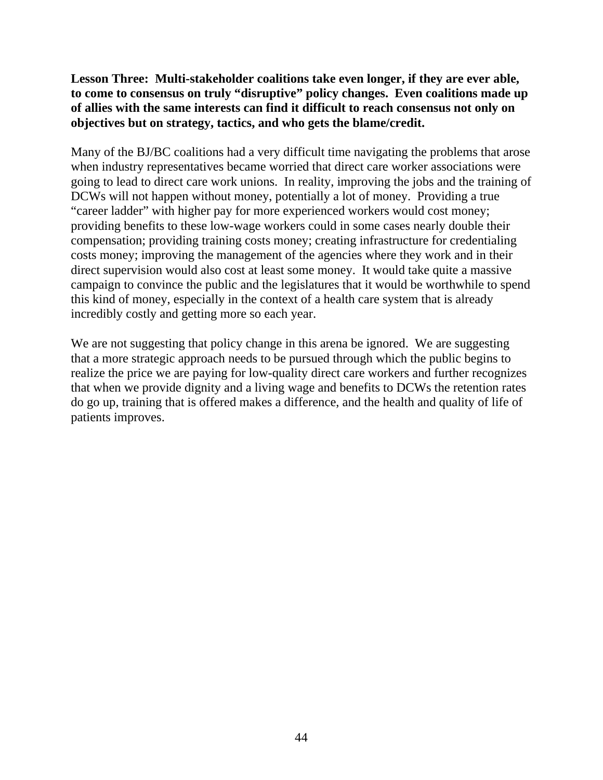**Lesson Three: Multi-stakeholder coalitions take even longer, if they are ever able, to come to consensus on truly "disruptive" policy changes. Even coalitions made up of allies with the same interests can find it difficult to reach consensus not only on objectives but on strategy, tactics, and who gets the blame/credit.** 

Many of the BJ/BC coalitions had a very difficult time navigating the problems that arose when industry representatives became worried that direct care worker associations were going to lead to direct care work unions. In reality, improving the jobs and the training of DCWs will not happen without money, potentially a lot of money. Providing a true "career ladder" with higher pay for more experienced workers would cost money; providing benefits to these low-wage workers could in some cases nearly double their compensation; providing training costs money; creating infrastructure for credentialing costs money; improving the management of the agencies where they work and in their direct supervision would also cost at least some money. It would take quite a massive campaign to convince the public and the legislatures that it would be worthwhile to spend this kind of money, especially in the context of a health care system that is already incredibly costly and getting more so each year.

We are not suggesting that policy change in this arena be ignored. We are suggesting that a more strategic approach needs to be pursued through which the public begins to realize the price we are paying for low-quality direct care workers and further recognizes that when we provide dignity and a living wage and benefits to DCWs the retention rates do go up, training that is offered makes a difference, and the health and quality of life of patients improves.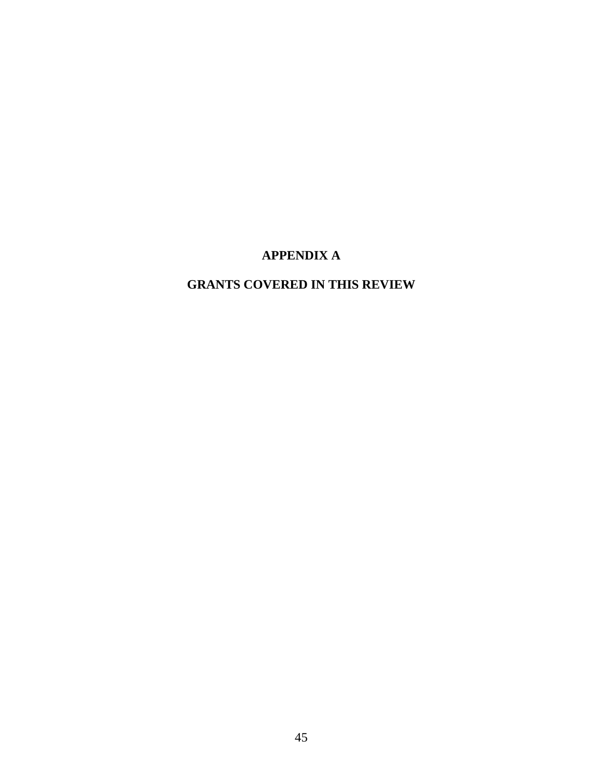## **APPENDIX A**

# **GRANTS COVERED IN THIS REVIEW**